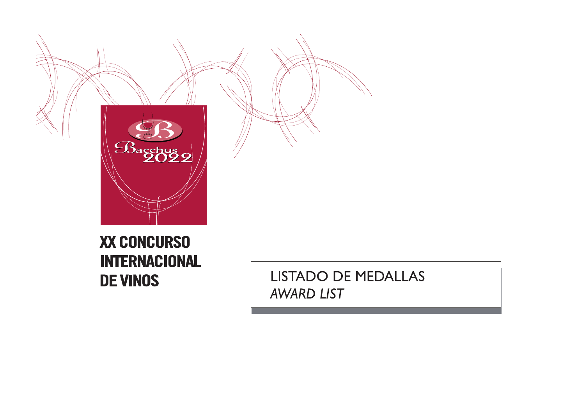

# **XX CONCURSO INTERNACIONAL DE VINOS**

LISTADO DE MEDALLAS **AWARD LIST**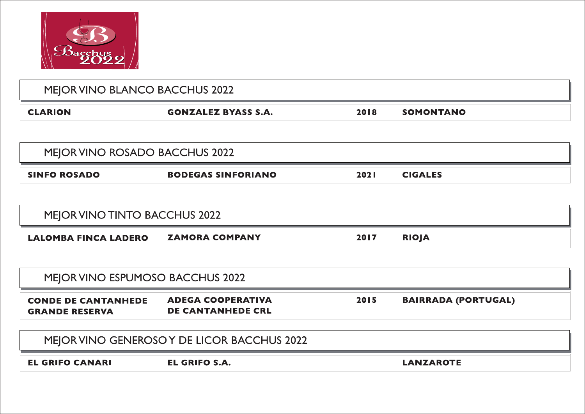

| MEJOR VINO BLANCO BACCHUS 2022                      |                                                      |      |                            |  |  |
|-----------------------------------------------------|------------------------------------------------------|------|----------------------------|--|--|
| <b>CLARION</b>                                      | <b>GONZALEZ BYASS S.A.</b>                           | 2018 | <b>SOMONTANO</b>           |  |  |
|                                                     |                                                      |      |                            |  |  |
| MEJOR VINO ROSADO BACCHUS 2022                      |                                                      |      |                            |  |  |
| <b>SINFO ROSADO</b>                                 | <b>BODEGAS SINFORIANO</b>                            | 2021 | <b>CIGALES</b>             |  |  |
|                                                     |                                                      |      |                            |  |  |
| MEJOR VINO TINTO BACCHUS 2022                       |                                                      |      |                            |  |  |
|                                                     |                                                      |      |                            |  |  |
| <b>LALOMBA FINCA LADERO</b>                         | <b>ZAMORA COMPANY</b>                                | 2017 | <b>RIOJA</b>               |  |  |
|                                                     |                                                      |      |                            |  |  |
| MEJOR VINO ESPUMOSO BACCHUS 2022                    |                                                      |      |                            |  |  |
| <b>CONDE DE CANTANHEDE</b><br><b>GRANDE RESERVA</b> | <b>ADEGA COOPERATIVA</b><br><b>DE CANTANHEDE CRL</b> | 2015 | <b>BAIRRADA (PORTUGAL)</b> |  |  |
|                                                     | MEJOR VINO GENEROSO Y DE LICOR BACCHUS 2022          |      |                            |  |  |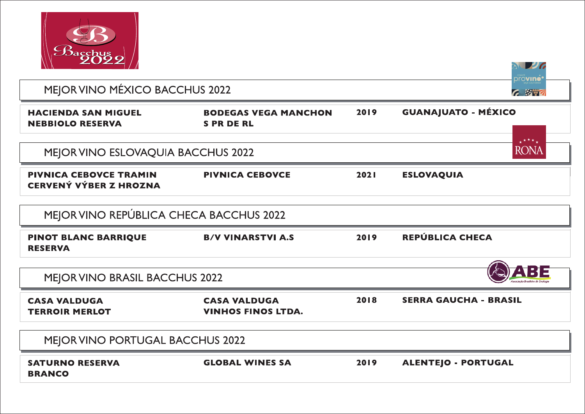

| 2022/                                                          |                                                  |      | drovino                      |
|----------------------------------------------------------------|--------------------------------------------------|------|------------------------------|
| MEJOR VINO MÉXICO BACCHUS 2022                                 |                                                  |      | 7.8897                       |
| <b>HACIENDA SAN MIGUEL</b><br><b>NEBBIOLO RESERVA</b>          | <b>BODEGAS VEGA MANCHON</b><br><b>SPRDERL</b>    | 2019 | <b>GUANAJUATO - MÉXICO</b>   |
| MEJOR VINO ESLOVAQUIA BACCHUS 2022                             |                                                  |      | <b>RONA</b>                  |
| <b>PIVNICA CEBOVCE TRAMIN</b><br><b>CERVENÝ VÝBER Z HROZNA</b> | <b>PIVNICA CEBOVCE</b>                           | 2021 | <b>ESLOVAQUIA</b>            |
| MEJOR VINO REPÚBLICA CHECA BACCHUS 2022                        |                                                  |      |                              |
| <b>PINOT BLANC BARRIQUE</b><br><b>RESERVA</b>                  | <b>B/V VINARSTVI A.S</b>                         | 2019 | REPÚBLICA CHECA              |
| <b>MEJOR VINO BRASIL BACCHUS 2022</b>                          |                                                  |      | 1313                         |
| <b>CASA VALDUGA</b><br><b>TERROIR MERLOT</b>                   | <b>CASA VALDUGA</b><br><b>VINHOS FINOS LTDA.</b> | 2018 | <b>SERRA GAUCHA - BRASIL</b> |
| MEJOR VINO PORTUGAL BACCHUS 2022                               |                                                  |      |                              |
| <b>SATURNO RESERVA</b><br><b>BRANCO</b>                        | <b>GLOBAL WINES SA</b>                           | 2019 | <b>ALENTEJO - PORTUGAL</b>   |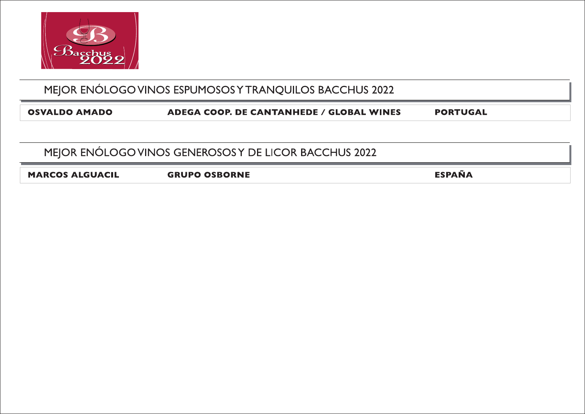

#### MEJOR ENÓLOGO VINOS ESPUMOSOS Y TRANQUILOS BACCHUS 2022

**OSVALDO AMADO** 

**ADEGA COOP. DE CANTANHEDE / GLOBAL WINES** 

**PORTUGAL** 

#### MEJOR ENÓLOGO VINOS GENEROSOS Y DE LICOR BACCHUS 2022

**MARCOS ALGUACIL** 

**GRUPO OSBORNE** 

**ESPAÑA**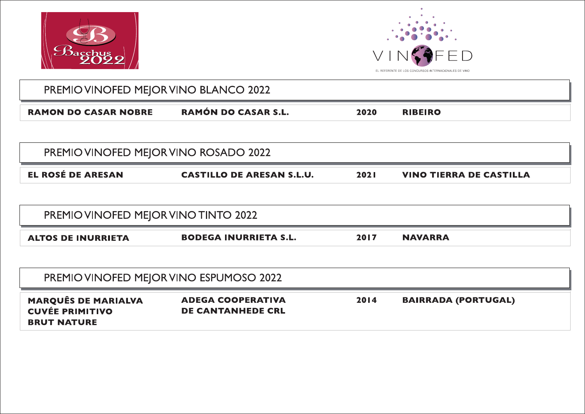



| PREMIO VINOFED MEJOR VINO BLANCO 2022 |                     |      |                |
|---------------------------------------|---------------------|------|----------------|
| <b>RAMON DO CASAR NOBRE</b>           | RAMÓN DO CASAR S.L. | 2020 | <b>RIBEIRO</b> |

| <b>PREMIO VINOFED MEJOR VINO ROSADO 2022</b> |                                  |             |                                |
|----------------------------------------------|----------------------------------|-------------|--------------------------------|
| EL ROSÉ DE ARESAN                            | <b>CASTILLO DE ARESAN S.L.U.</b> | <b>2021</b> | <b>VINO TIERRA DE CASTILLA</b> |

| PREMIO VINOFED MEJOR VINO TINTO 2022 |                              |      |         |
|--------------------------------------|------------------------------|------|---------|
| <b>ALTOS DE INURRIETA</b>            | <b>BODEGA INURRIETA S.L.</b> | 2017 | NAVARRA |

| PREMIO VINOFED MEJOR VINO ESPUMOSO 2022                                    |                                                      |      |                            |  |  |
|----------------------------------------------------------------------------|------------------------------------------------------|------|----------------------------|--|--|
| <b>MARQUÊS DE MARIALVA</b><br><b>CUVÉE PRIMITIVO</b><br><b>BRUT NATURE</b> | <b>ADEGA COOPERATIVA</b><br><b>DE CANTANHEDE CRL</b> | 2014 | <b>BAIRRADA (PORTUGAL)</b> |  |  |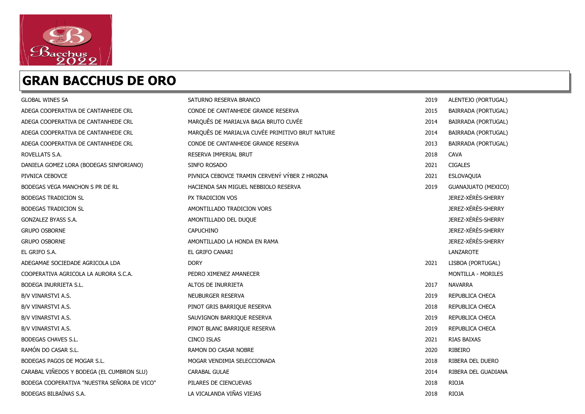

#### GRAN BACCHUS DE ORO

| <b>GLOBAL WINES SA</b>                      | SATURNO RESERVA BRANCO                          | 2019 | ALENTEJO (PORTUGAL)        |
|---------------------------------------------|-------------------------------------------------|------|----------------------------|
| ADEGA COOPERATIVA DE CANTANHEDE CRL         | CONDE DE CANTANHEDE GRANDE RESERVA              | 2015 | BAIRRADA (PORTUGAL)        |
| ADEGA COOPERATIVA DE CANTANHEDE CRL         | MARQUÊS DE MARIALVA BAGA BRUTO CUVÉE            | 2014 | BAIRRADA (PORTUGAL)        |
| ADEGA COOPERATIVA DE CANTANHEDE CRL         | MARQUÊS DE MARIALVA CUVÉE PRIMITIVO BRUT NATURE | 2014 | BAIRRADA (PORTUGAL)        |
| ADEGA COOPERATIVA DE CANTANHEDE CRL         | CONDE DE CANTANHEDE GRANDE RESERVA              | 2013 | BAIRRADA (PORTUGAL)        |
| ROVELLATS S.A.                              | RESERVA IMPERIAL BRUT                           | 2018 | <b>CAVA</b>                |
| DANIELA GOMEZ LORA (BODEGAS SINFORIANO)     | SINFO ROSADO                                    | 2021 | <b>CIGALES</b>             |
| PIVNICA CEBOVCE                             | PIVNICA CEBOVCE TRAMIN CERVENÝ VÝBER Z HROZNA   | 2021 | ESLOVAQUIA                 |
| BODEGAS VEGA MANCHON S PR DE RL             | HACIENDA SAN MIGUEL NEBBIOLO RESERVA            | 2019 | <b>GUANAJUATO (MEXICO)</b> |
| <b>BODEGAS TRADICION SL</b>                 | PX TRADICION VOS                                |      | JEREZ-XÉRÈS-SHERRY         |
| <b>BODEGAS TRADICION SL</b>                 | AMONTILLADO TRADICION VORS                      |      | JEREZ-XÉRÈS-SHERRY         |
| GONZALEZ BYASS S.A.                         | AMONTILLADO DEL DUQUE                           |      | JEREZ-XÉRÈS-SHERRY         |
| <b>GRUPO OSBORNE</b>                        | <b>CAPUCHINO</b>                                |      | JEREZ-XÉRÈS-SHERRY         |
| <b>GRUPO OSBORNE</b>                        | AMONTILLADO LA HONDA EN RAMA                    |      | JEREZ-XÉRÈS-SHERRY         |
| EL GRIFO S.A.                               | EL GRIFO CANARI                                 |      | LANZAROTE                  |
| ADEGAMAE SOCIEDADE AGRICOLA LDA             | <b>DORY</b>                                     | 2021 | LISBOA (PORTUGAL)          |
| COOPERATIVA AGRICOLA LA AURORA S.C.A.       | PEDRO XIMENEZ AMANECER                          |      | MONTILLA - MORILES         |
| BODEGA INURRIETA S.L.                       | ALTOS DE INURRIETA                              | 2017 | <b>NAVARRA</b>             |
| B/V VINARSTVI A.S.                          | NEUBURGER RESERVA                               | 2019 | REPUBLICA CHECA            |
| B/V VINARSTVI A.S.                          | PINOT GRIS BARRIQUE RESERVA                     | 2018 | REPUBLICA CHECA            |
| B/V VINARSTVI A.S.                          | SAUVIGNON BARRIQUE RESERVA                      | 2019 | REPUBLICA CHECA            |
| B/V VINARSTVI A.S.                          | PINOT BLANC BARRIQUE RESERVA                    | 2019 | REPUBLICA CHECA            |
| <b>BODEGAS CHAVES S.L.</b>                  | <b>CINCO ISLAS</b>                              | 2021 | RIAS BAIXAS                |
| RAMÓN DO CASAR S.L.                         | <b>RAMON DO CASAR NOBRE</b>                     | 2020 | RIBEIRO                    |
| BODEGAS PAGOS DE MOGAR S.L.                 | MOGAR VENDIMIA SELECCIONADA                     | 2018 | RIBERA DEL DUERO           |
| CARABAL VIÑEDOS Y BODEGA (EL CUMBRON SLU)   | CARABAL GULAE                                   | 2014 | RIBERA DEL GUADIANA        |
| BODEGA COOPERATIVA "NUESTRA SEÑORA DE VICO" | PILARES DE CIENCUEVAS                           | 2018 | RIOJA                      |
| BODEGAS BILBAÍNAS S.A.                      | LA VICALANDA VIÑAS VIEJAS                       | 2018 | <b>RIOJA</b>               |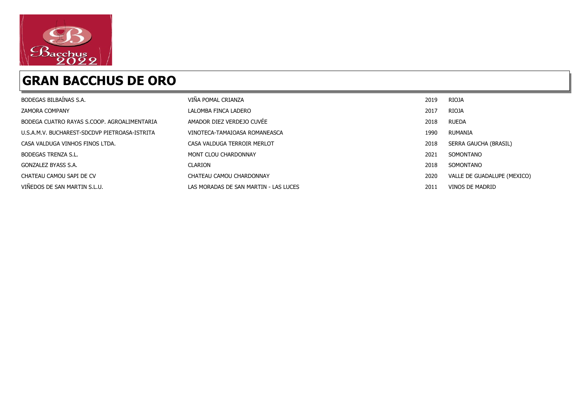

#### GRAN BACCHUS DE ORO

| BODEGAS BILBAÍNAS S.A.                        | VIÑA POMAL CRIANZA                    | 2019 | <b>RIOJA</b>                |
|-----------------------------------------------|---------------------------------------|------|-----------------------------|
| <b>ZAMORA COMPANY</b>                         | LALOMBA FINCA LADERO                  | 2017 | <b>RIOJA</b>                |
| BODEGA CUATRO RAYAS S.COOP. AGROALIMENTARIA   | AMADOR DIEZ VERDEJO CUVÉE             | 2018 | <b>RUEDA</b>                |
| U.S.A.M.V. BUCHAREST-SDCDVP PIETROASA-ISTRITA | VINOTECA-TAMAIOASA ROMANEASCA         | 1990 | RUMANIA                     |
| CASA VALDUGA VINHOS FINOS LTDA.               | CASA VALDUGA TERROIR MERLOT           | 2018 | SERRA GAUCHA (BRASIL)       |
| <b>BODEGAS TRENZA S.L.</b>                    | MONT CLOU CHARDONNAY                  | 2021 | SOMONTANO                   |
| GONZALEZ BYASS S.A.                           | <b>CLARION</b>                        | 2018 | SOMONTANO                   |
| CHATEAU CAMOU SAPI DE CV                      | CHATEAU CAMOU CHARDONNAY              | 2020 | VALLE DE GUADALUPE (MEXICO) |
| VIÑEDOS DE SAN MARTIN S.L.U.                  | LAS MORADAS DE SAN MARTIN - LAS LUCES | 2011 | VINOS DE MADRID             |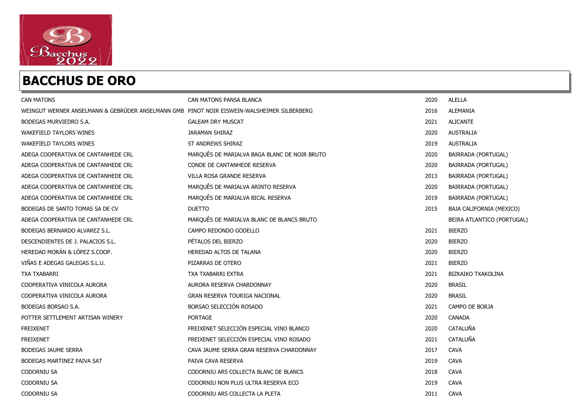

| <b>CAN MATONS</b>                                                                          | CAN MATONS PANSA BLANCA                      | 2020 | <b>ALELLA</b>              |
|--------------------------------------------------------------------------------------------|----------------------------------------------|------|----------------------------|
| WEINGUT WERNER ANSELMANN & GEBRÜDER ANSELMANN GMB PINOT NOIR EISWEIN-WALSHEIMER SILBERBERG |                                              | 2016 | ALEMANIA                   |
| BODEGAS MURVIEDRO S.A.                                                                     | <b>GALEAM DRY MUSCAT</b>                     | 2021 | <b>ALICANTE</b>            |
| WAKEFIELD TAYLORS WINES                                                                    | <b>JARAMAN SHIRAZ</b>                        | 2020 | <b>AUSTRALIA</b>           |
| <b>WAKEFIELD TAYLORS WINES</b>                                                             | ST ANDREWS SHIRAZ                            | 2019 | <b>AUSTRALIA</b>           |
| ADEGA COOPERATIVA DE CANTANHEDE CRL                                                        | MARQUÊS DE MARIALVA BAGA BLANC DE NOIR BRUTO | 2020 | BAIRRADA (PORTUGAL)        |
| ADEGA COOPERATIVA DE CANTANHEDE CRL                                                        | CONDE DE CANTANHEDE RESERVA                  | 2020 | BAIRRADA (PORTUGAL)        |
| ADEGA COOPERATIVA DE CANTANHEDE CRL                                                        | VILLA ROSA GRANDE RESERVA                    | 2013 | BAIRRADA (PORTUGAL)        |
| ADEGA COOPERATIVA DE CANTANHEDE CRL                                                        | MARQUÊS DE MARIALVA ARINTO RESERVA           | 2020 | BAIRRADA (PORTUGAL)        |
| ADEGA COOPERATIVA DE CANTANHEDE CRL                                                        | MARQUÊS DE MARIALVA BICAL RESERVA            | 2019 | BAIRRADA (PORTUGAL)        |
| BODEGAS DE SANTO TOMAS SA DE CV                                                            | <b>DUETTO</b>                                | 2015 | BAJA CALIFORNIA (MEXICO)   |
| ADEGA COOPERATIVA DE CANTANHEDE CRL                                                        | MARQUÊS DE MARIALVA BLANC DE BLANCS BRUTO    |      | BEIRA ATLANTICO (PORTUGAL) |
| BODEGAS BERNARDO ALVAREZ S.L.                                                              | CAMPO REDONDO GODELLO                        | 2021 | <b>BIERZO</b>              |
| DESCENDIENTES DE J. PALACIOS S.L.                                                          | PÉTALOS DEL BIERZO                           | 2020 | <b>BIERZO</b>              |
| HEREDAD MORÁN & LÓPEZ S.COOP.                                                              | HEREDAD ALTOS DE TALANA                      | 2020 | <b>BIERZO</b>              |
| VIÑAS E ADEGAS GALEGAS S.L.U.                                                              | PIZARRAS DE OTERO                            | 2021 | <b>BIERZO</b>              |
| TXA TXABARRI                                                                               | TXA TXABARRI EXTRA                           | 2021 | <b>BIZKAIKO TXAKOLINA</b>  |
| COOPERATIVA VINICOLA AURORA                                                                | AURORA RESERVA CHARDONNAY                    | 2020 | <b>BRASIL</b>              |
| COOPERATIVA VINICOLA AURORA                                                                | <b>GRAN RESERVA TOURIGA NACIONAL</b>         | 2020 | <b>BRASIL</b>              |
| BODEGAS BORSAO S.A.                                                                        | BORSAO SELECCIÓN ROSADO                      | 2021 | CAMPO DE BORJA             |
| POTTER SETTLEMENT ARTISAN WINERY                                                           | <b>PORTAGE</b>                               | 2020 | CANADA                     |
| <b>FREIXENET</b>                                                                           | FREIXENET SELECCIÓN ESPECIAL VINO BLANCO     | 2020 | CATALUÑA                   |
| <b>FREIXENET</b>                                                                           | FREIXENET SELECCIÓN ESPECIAL VINO ROSADO     | 2021 | CATALUÑA                   |
| <b>BODEGAS JAUME SERRA</b>                                                                 | CAVA JAUME SERRA GRAN RESERVA CHARDONNAY     | 2017 | <b>CAVA</b>                |
| BODEGAS MARTINEZ PAIVA SAT                                                                 | PAIVA CAVA RESERVA                           | 2019 | <b>CAVA</b>                |
| <b>CODORNIU SA</b>                                                                         | CODORNIU ARS COLLECTA BLANC DE BLANCS        | 2018 | <b>CAVA</b>                |
| <b>CODORNIU SA</b>                                                                         | CODORNIU NON PLUS ULTRA RESERVA ECO          | 2019 | <b>CAVA</b>                |
| <b>CODORNIU SA</b>                                                                         | CODORNIU ARS COLLECTA LA PLETA               | 2011 | <b>CAVA</b>                |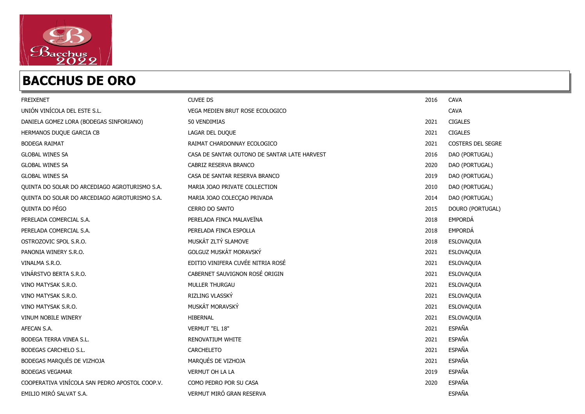

| <b>FREIXENET</b>                               | <b>CUVEE DS</b>                              | 2016 | <b>CAVA</b>              |
|------------------------------------------------|----------------------------------------------|------|--------------------------|
| UNIÓN VINÍCOLA DEL ESTE S.L.                   | VEGA MEDIEN BRUT ROSE ECOLOGICO              |      | <b>CAVA</b>              |
| DANIELA GOMEZ LORA (BODEGAS SINFORIANO)        | 50 VENDIMIAS                                 | 2021 | <b>CIGALES</b>           |
| HERMANOS DUQUE GARCIA CB                       | LAGAR DEL DUQUE                              | 2021 | <b>CIGALES</b>           |
| <b>BODEGA RAIMAT</b>                           | RAIMAT CHARDONNAY ECOLOGICO                  | 2021 | <b>COSTERS DEL SEGRE</b> |
| <b>GLOBAL WINES SA</b>                         | CASA DE SANTAR OUTONO DE SANTAR LATE HARVEST | 2016 | DAO (PORTUGAL)           |
| <b>GLOBAL WINES SA</b>                         | CABRIZ RESERVA BRANCO                        | 2020 | DAO (PORTUGAL)           |
| <b>GLOBAL WINES SA</b>                         | CASA DE SANTAR RESERVA BRANCO                | 2019 | DAO (PORTUGAL)           |
| QUINTA DO SOLAR DO ARCEDIAGO AGROTURISMO S.A.  | MARIA JOAO PRIVATE COLLECTION                | 2010 | DAO (PORTUGAL)           |
| QUINTA DO SOLAR DO ARCEDIAGO AGROTURISMO S.A.  | MARIA JOAO COLECÇAO PRIVADA                  | 2014 | DAO (PORTUGAL)           |
| QUINTA DO PÉGO                                 | <b>CERRO DO SANTO</b>                        | 2015 | DOURO (PORTUGAL)         |
| PERELADA COMERCIAL S.A.                        | PERELADA FINCA MALAVEÏNA                     | 2018 | EMPORDÁ                  |
| PERELADA COMERCIAL S.A.                        | PERELADA FINCA ESPOLLA                       | 2018 | EMPORDÁ                  |
| OSTROZOVIC SPOL S.R.O.                         | MUSKÁT ZLTÝ SLAMOVE                          | 2018 | ESLOVAQUIA               |
| PANONIA WINERY S.R.O.                          | GOLGUZ MUSKÁT MORAVSKÝ                       | 2021 | ESLOVAQUIA               |
| VINALMA S.R.O.                                 | EDITIO VINIFERA CUVÉE NITRIA ROSÉ            | 2021 | ESLOVAQUIA               |
| VINÁRSTVO BERTA S.R.O.                         | CABERNET SAUVIGNON ROSÉ ORIGIN               | 2021 | ESLOVAQUIA               |
| VINO MATYSAK S.R.O.                            | MULLER THURGAU                               | 2021 | ESLOVAQUIA               |
| VINO MATYSAK S.R.O.                            | RIZLING VLASSKÝ                              | 2021 | ESLOVAQUIA               |
| VINO MATYSAK S.R.O.                            | MUSKÁT MORAVSKÝ                              | 2021 | ESLOVAQUIA               |
| VINUM NOBILE WINERY                            | HIBERNAL                                     | 2021 | ESLOVAQUIA               |
| AFECAN S.A.                                    | VERMUT "EL 18"                               | 2021 | <b>ESPAÑA</b>            |
| BODEGA TERRA VINEA S.L.                        | RENOVATIUM WHITE                             | 2021 | <b>ESPAÑA</b>            |
| BODEGAS CARCHELO S.L.                          | <b>CARCHELETO</b>                            | 2021 | <b>ESPAÑA</b>            |
| BODEGAS MARQUÉS DE VIZHOJA                     | MARQUÉS DE VIZHOJA                           | 2021 | <b>ESPAÑA</b>            |
| <b>BODEGAS VEGAMAR</b>                         | VERMUT OH LA LA                              | 2019 | <b>ESPAÑA</b>            |
| COOPERATIVA VINÍCOLA SAN PEDRO APOSTOL COOP.V. | COMO PEDRO POR SU CASA                       | 2020 | <b>ESPAÑA</b>            |
| EMILIO MIRÓ SALVAT S.A.                        | VERMUT MIRÓ GRAN RESERVA                     |      | <b>ESPAÑA</b>            |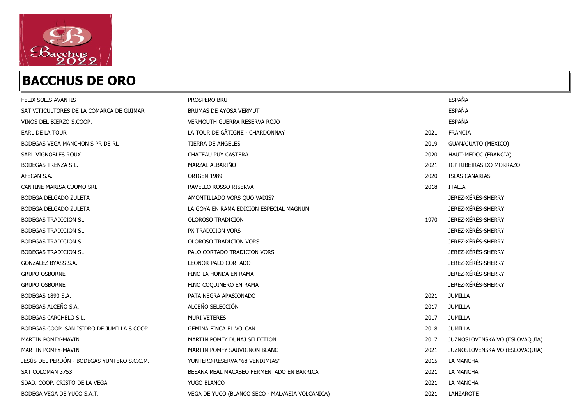

| FELIX SOLIS AVANTIS                         | PROSPERO BRUT                                   |      | <b>ESPAÑA</b>                  |
|---------------------------------------------|-------------------------------------------------|------|--------------------------------|
| SAT VITICULTORES DE LA COMARCA DE GÜIMAR    | BRUMAS DE AYOSA VERMUT                          |      | <b>ESPAÑA</b>                  |
| VINOS DEL BIERZO S.COOP.                    | VERMOUTH GUERRA RESERVA ROJO                    |      | <b>ESPAÑA</b>                  |
| EARL DE LA TOUR                             | LA TOUR DE GÂTIGNE - CHARDONNAY                 | 2021 | <b>FRANCIA</b>                 |
| BODEGAS VEGA MANCHON S PR DE RL             | TIERRA DE ANGELES                               | 2019 | <b>GUANAJUATO (MEXICO)</b>     |
| SARL VIGNOBLES ROUX                         | CHATEAU PUY CASTERA                             | 2020 | HAUT-MEDOC (FRANCIA)           |
| <b>BODEGAS TRENZA S.L.</b>                  | MARZAL ALBARIÑO                                 | 2021 | IGP RIBEIRAS DO MORRAZO        |
| AFECAN S.A.                                 | ORIGEN 1989                                     | 2020 | <b>ISLAS CANARIAS</b>          |
| CANTINE MARISA CUOMO SRL                    | RAVELLO ROSSO RISERVA                           | 2018 | ITALIA                         |
| <b>BODEGA DELGADO ZULETA</b>                | AMONTILLADO VORS QUO VADIS?                     |      | JEREZ-XÉRÈS-SHERRY             |
| BODEGA DELGADO ZULETA                       | LA GOYA EN RAMA EDICION ESPECIAL MAGNUM         |      | JEREZ-XÉRÈS-SHERRY             |
| <b>BODEGAS TRADICION SL</b>                 | OLOROSO TRADICION                               | 1970 | JEREZ-XÉRÈS-SHERRY             |
| <b>BODEGAS TRADICION SL</b>                 | PX TRADICION VORS                               |      | JEREZ-XÉRÈS-SHERRY             |
| <b>BODEGAS TRADICION SL</b>                 | OLOROSO TRADICION VORS                          |      | JEREZ-XÉRÈS-SHERRY             |
| <b>BODEGAS TRADICION SL</b>                 | PALO CORTADO TRADICION VORS                     |      | JEREZ-XÉRÈS-SHERRY             |
| GONZALEZ BYASS S.A.                         | LEONOR PALO CORTADO                             |      | JEREZ-XÉRÈS-SHERRY             |
| <b>GRUPO OSBORNE</b>                        | FINO LA HONDA EN RAMA                           |      | JEREZ-XÉRÈS-SHERRY             |
| <b>GRUPO OSBORNE</b>                        | FINO COQUINERO EN RAMA                          |      | JEREZ-XÉRÈS-SHERRY             |
| BODEGAS 1890 S.A.                           | PATA NEGRA APASIONADO                           | 2021 | <b>JUMILLA</b>                 |
| BODEGAS ALCEÑO S.A.                         | ALCEÑO SELECCIÓN                                | 2017 | <b>JUMILLA</b>                 |
| BODEGAS CARCHELO S.L.                       | <b>MURI VETERES</b>                             | 2017 | <b>JUMILLA</b>                 |
| BODEGAS COOP. SAN ISIDRO DE JUMILLA S.COOP. | <b>GEMINA FINCA EL VOLCAN</b>                   | 2018 | <b>JUMILLA</b>                 |
| MARTIN POMFY-MAVIN                          | MARTIN POMFY DUNAJ SELECTION                    | 2017 | JUZNOSLOVENSKA VO (ESLOVAQUIA) |
| MARTIN POMFY-MAVIN                          | MARTIN POMFY SAUVIGNON BLANC                    | 2021 | JUZNOSLOVENSKA VO (ESLOVAQUIA) |
| JESÚS DEL PERDÓN - BODEGAS YUNTERO S.C.C.M. | YUNTERO RESERVA "68 VENDIMIAS"                  | 2015 | LA MANCHA                      |
| SAT COLOMAN 3753                            | BESANA REAL MACABEO FERMENTADO EN BARRICA       | 2021 | LA MANCHA                      |
| SDAD. COOP. CRISTO DE LA VEGA               | YUGO BLANCO                                     | 2021 | LA MANCHA                      |
| BODEGA VEGA DE YUCO S.A.T.                  | VEGA DE YUCO (BLANCO SECO - MALVASIA VOLCANICA) | 2021 | LANZAROTE                      |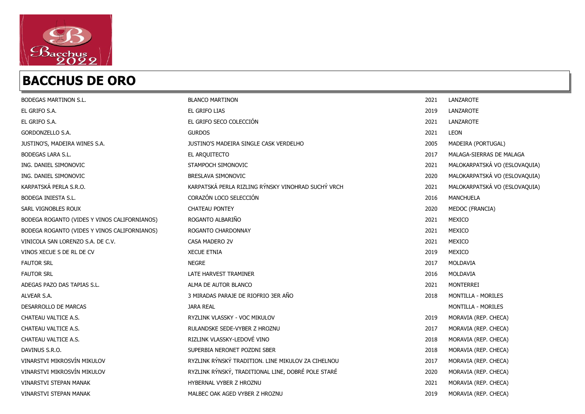

| BODEGAS MARTINON S.L.                        | <b>BLANCO MARTINON</b>                             | 2021 | LANZAROTE                     |
|----------------------------------------------|----------------------------------------------------|------|-------------------------------|
| EL GRIFO S.A.                                | EL GRIFO LIAS                                      | 2019 | LANZAROTE                     |
| EL GRIFO S.A.                                | EL GRIFO SECO COLECCIÓN                            | 2021 | LANZAROTE                     |
| GORDONZELLO S.A.                             | <b>GURDOS</b>                                      | 2021 | LEON                          |
| JUSTINO'S, MADEIRA WINES S.A.                | JUSTINO'S MADEIRA SINGLE CASK VERDELHO             | 2005 | MADEIRA (PORTUGAL)            |
| <b>BODEGAS LARA S.L.</b>                     | EL ARQUITECTO                                      | 2017 | MALAGA-SIERRAS DE MALAGA      |
| ING. DANIEL SIMONOVIC                        | STAMPOCH SIMONOVIC                                 | 2021 | MALOKARPATSKÁ VO (ESLOVAQUIA) |
| ING. DANIEL SIMONOVIC                        | BRESLAVA SIMONOVIC                                 | 2020 | MALOKARPATSKÁ VO (ESLOVAQUIA) |
| KARPATSKÁ PERLA S.R.O.                       | KARPATSKÁ PERLA RIZLING RÝNSKY VINOHRAD SUCHÝ VRCH | 2021 | MALOKARPATSKÁ VO (ESLOVAQUIA) |
| <b>BODEGA INIESTA S.L.</b>                   | CORAZÓN LOCO SELECCIÓN                             | 2016 | <b>MANCHUELA</b>              |
| SARL VIGNOBLES ROUX                          | <b>CHATEAU PONTEY</b>                              | 2020 | MEDOC (FRANCIA)               |
| BODEGA ROGANTO (VIDES Y VINOS CALIFORNIANOS) | ROGANTO ALBARIÑO                                   | 2021 | MEXICO                        |
| BODEGA ROGANTO (VIDES Y VINOS CALIFORNIANOS) | ROGANTO CHARDONNAY                                 | 2021 | MEXICO                        |
| VINICOLA SAN LORENZO S.A. DE C.V.            | CASA MADERO 2V                                     | 2021 | MEXICO                        |
| VINOS XECUE S DE RL DE CV                    | <b>XECUE ETNIA</b>                                 | 2019 | MEXICO                        |
| <b>FAUTOR SRL</b>                            | <b>NEGRE</b>                                       | 2017 | MOLDAVIA                      |
| <b>FAUTOR SRL</b>                            | LATE HARVEST TRAMINER                              | 2016 | MOLDAVIA                      |
| ADEGAS PAZO DAS TAPIAS S.L.                  | ALMA DE AUTOR BLANCO                               | 2021 | MONTERREI                     |
| ALVEAR S.A.                                  | 3 MIRADAS PARAJE DE RIOFRIO 3ER AÑO                | 2018 | MONTILLA - MORILES            |
| DESARROLLO DE MARCAS                         | <b>JARA REAL</b>                                   |      | MONTILLA - MORILES            |
| CHATEAU VALTICE A.S.                         | RYZLINK VLASSKY - VOC MIKULOV                      | 2019 | MORAVIA (REP. CHECA)          |
| CHATEAU VALTICE A.S.                         | RULANDSKE SEDE-VYBER Z HROZNU                      | 2017 | MORAVIA (REP. CHECA)          |
| CHATEAU VALTICE A.S.                         | RIZLINK VLASSKY-LEDOVÉ VINO                        | 2018 | MORAVIA (REP. CHECA)          |
| DAVINUS S.R.O.                               | SUPERBIA NERONET POZDNI SBER                       | 2018 | MORAVIA (REP. CHECA)          |
| VINARSTVI MIKROSVÍN MIKULOV                  | RYZLINK RÝNSKÝ TRADITION. LINE MIKULOV ZA CIHELNOU | 2017 | MORAVIA (REP. CHECA)          |
| VINARSTVI MIKROSVÍN MIKULOV                  | RYZLINK RÝNSKÝ, TRADITIONAL LINE, DOBRÉ POLE STARÉ | 2020 | MORAVIA (REP. CHECA)          |
| <b>VINARSTVI STEPAN MANAK</b>                | HYBERNAL VYBER Z HROZNU                            | 2021 | MORAVIA (REP. CHECA)          |
| VINARSTVI STEPAN MANAK                       | MALBEC OAK AGED VYBER Z HROZNU                     | 2019 | MORAVIA (REP. CHECA)          |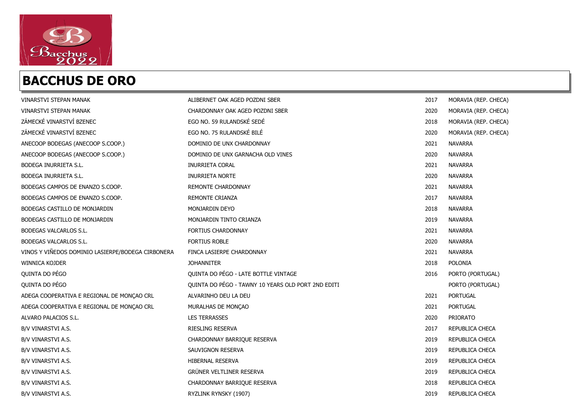

| <b>VINARSTVI STEPAN MANAK</b>                     | ALIBERNET OAK AGED POZDNI SBER                     | 2017 | MORAVIA (REP. CHECA) |
|---------------------------------------------------|----------------------------------------------------|------|----------------------|
| VINARSTVI STEPAN MANAK                            | CHARDONNAY OAK AGED POZDNI SBER                    | 2020 | MORAVIA (REP. CHECA) |
| ZÁMECKÉ VINARSTVÍ BZENEC                          | EGO NO. 59 RULANDSKÉ SEDÉ                          | 2018 | MORAVIA (REP. CHECA) |
| ZÁMECKÉ VINARSTVÍ BZENEC                          | EGO NO. 75 RULANDSKÉ BILÉ                          | 2020 | MORAVIA (REP. CHECA) |
| ANECOOP BODEGAS (ANECOOP S.COOP.)                 | DOMINIO DE UNX CHARDONNAY                          | 2021 | <b>NAVARRA</b>       |
| ANECOOP BODEGAS (ANECOOP S.COOP.)                 | DOMINIO DE UNX GARNACHA OLD VINES                  | 2020 | <b>NAVARRA</b>       |
| <b>BODEGA INURRIETA S.L.</b>                      | <b>INURRIETA CORAL</b>                             | 2021 | <b>NAVARRA</b>       |
| BODEGA INURRIETA S.L.                             | <b>INURRIETA NORTE</b>                             | 2020 | <b>NAVARRA</b>       |
| BODEGAS CAMPOS DE ENANZO S.COOP.                  | <b>REMONTE CHARDONNAY</b>                          | 2021 | <b>NAVARRA</b>       |
| BODEGAS CAMPOS DE ENANZO S.COOP.                  | <b>REMONTE CRIANZA</b>                             | 2017 | <b>NAVARRA</b>       |
| BODEGAS CASTILLO DE MONJARDIN                     | MONJARDIN DEYO                                     | 2018 | <b>NAVARRA</b>       |
| BODEGAS CASTILLO DE MONJARDIN                     | MONJARDIN TINTO CRIANZA                            | 2019 | <b>NAVARRA</b>       |
| BODEGAS VALCARLOS S.L.                            | <b>FORTIUS CHARDONNAY</b>                          | 2021 | <b>NAVARRA</b>       |
| BODEGAS VALCARLOS S.L.                            | <b>FORTIUS ROBLE</b>                               | 2020 | <b>NAVARRA</b>       |
| VINOS Y VIÑEDOS DOMINIO LASIERPE/BODEGA CIRBONERA | FINCA LASIERPE CHARDONNAY                          | 2021 | <b>NAVARRA</b>       |
| <b>WINNICA KOJDER</b>                             | <b>JOHANNITER</b>                                  | 2018 | <b>POLONIA</b>       |
| QUINTA DO PÉGO                                    | QUINTA DO PÉGO - LATE BOTTLE VINTAGE               | 2016 | PORTO (PORTUGAL)     |
| QUINTA DO PÉGO                                    | QUINTA DO PÉGO - TAWNY 10 YEARS OLD PORT 2ND EDITI |      | PORTO (PORTUGAL)     |
| ADEGA COOPERATIVA E REGIONAL DE MONÇÃO CRL        | ALVARINHO DEU LA DEU                               | 2021 | <b>PORTUGAL</b>      |
| ADEGA COOPERATIVA E REGIONAL DE MONÇAO CRL        | MURALHAS DE MONÇÃO                                 | 2021 | <b>PORTUGAL</b>      |
| ALVARO PALACIOS S.L.                              | <b>LES TERRASSES</b>                               | 2020 | PRIORATO             |
| B/V VINARSTVI A.S.                                | RIESLING RESERVA                                   | 2017 | REPUBLICA CHECA      |
| B/V VINARSTVI A.S.                                | CHARDONNAY BARRIQUE RESERVA                        | 2019 | REPUBLICA CHECA      |
| B/V VINARSTVI A.S.                                | SAUVIGNON RESERVA                                  | 2019 | REPUBLICA CHECA      |
| B/V VINARSTVI A.S.                                | HIBERNAL RESERVA                                   | 2019 | REPUBLICA CHECA      |
| B/V VINARSTVI A.S.                                | GRÜNER VELTLINER RESERVA                           | 2019 | REPUBLICA CHECA      |
| B/V VINARSTVI A.S.                                | CHARDONNAY BARRIQUE RESERVA                        | 2018 | REPUBLICA CHECA      |
| B/V VINARSTVI A.S.                                | RYZLINK RYNSKY (1907)                              | 2019 | REPUBLICA CHECA      |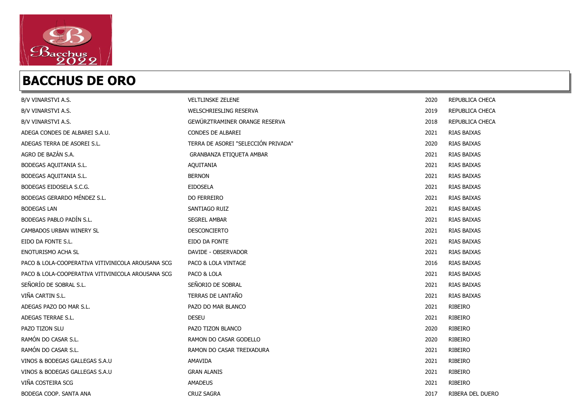

| B/V VINARSTVI A.S.                                | <b>VELTLINSKE ZELENE</b>            | 2020 | REPUBLICA CHECA  |
|---------------------------------------------------|-------------------------------------|------|------------------|
| B/V VINARSTVI A.S.                                | WELSCHRIESLING RESERVA              | 2019 | REPUBLICA CHECA  |
| B/V VINARSTVI A.S.                                | GEWÜRZTRAMINER ORANGE RESERVA       | 2018 | REPUBLICA CHECA  |
| ADEGA CONDES DE ALBAREI S.A.U.                    | CONDES DE ALBAREI                   | 2021 | RIAS BAIXAS      |
| ADEGAS TERRA DE ASOREI S.L.                       | TERRA DE ASOREI "SELECCIÓN PRIVADA" | 2020 | RIAS BAIXAS      |
| AGRO DE BAZÁN S.A.                                | GRANBANZA ETIQUETA AMBAR            | 2021 | RIAS BAIXAS      |
| BODEGAS AQUITANIA S.L.                            | AQUITANIA                           | 2021 | RIAS BAIXAS      |
| BODEGAS AQUITANIA S.L.                            | <b>BERNON</b>                       | 2021 | RIAS BAIXAS      |
| BODEGAS EIDOSELA S.C.G.                           | <b>EIDOSELA</b>                     | 2021 | RIAS BAIXAS      |
| BODEGAS GERARDO MÉNDEZ S.L.                       | DO FERREIRO                         | 2021 | RIAS BAIXAS      |
| <b>BODEGAS LAN</b>                                | SANTIAGO RUIZ                       | 2021 | RIAS BAIXAS      |
| BODEGAS PABLO PADÍN S.L.                          | <b>SEGREL AMBAR</b>                 | 2021 | RIAS BAIXAS      |
| CAMBADOS URBAN WINERY SL                          | <b>DESCONCIERTO</b>                 | 2021 | RIAS BAIXAS      |
| EIDO DA FONTE S.L.                                | EIDO DA FONTE                       | 2021 | RIAS BAIXAS      |
| <b>ENOTURISMO ACHA SL</b>                         | DAVIDE - OBSERVADOR                 | 2021 | RIAS BAIXAS      |
| PACO & LOLA-COOPERATIVA VITIVINICOLA AROUSANA SCG | PACO & LOLA VINTAGE                 | 2016 | RIAS BAIXAS      |
| PACO & LOLA-COOPERATIVA VITIVINICOLA AROUSANA SCG | PACO & LOLA                         | 2021 | RIAS BAIXAS      |
| SEÑORÍO DE SOBRAL S.L.                            | SEÑORIO DE SOBRAL                   | 2021 | RIAS BAIXAS      |
| VIÑA CARTIN S.L.                                  | TERRAS DE LANTAÑO                   | 2021 | RIAS BAIXAS      |
| ADEGAS PAZO DO MAR S.L.                           | PAZO DO MAR BLANCO                  | 2021 | RIBEIRO          |
| ADEGAS TERRAE S.L.                                | <b>DESEU</b>                        | 2021 | RIBEIRO          |
| PAZO TIZON SLU                                    | PAZO TIZON BLANCO                   | 2020 | RIBEIRO          |
| RAMÓN DO CASAR S.L.                               | RAMON DO CASAR GODELLO              | 2020 | <b>RIBEIRO</b>   |
| RAMÓN DO CASAR S.L.                               | RAMON DO CASAR TREIXADURA           | 2021 | RIBEIRO          |
| VINOS & BODEGAS GALLEGAS S.A.U                    | AMAVIDA                             | 2021 | RIBEIRO          |
| VINOS & BODEGAS GALLEGAS S.A.U                    | <b>GRAN ALANIS</b>                  | 2021 | RIBEIRO          |
| VIÑA COSTEIRA SCG                                 | <b>AMADEUS</b>                      | 2021 | RIBEIRO          |
| BODEGA COOP. SANTA ANA                            | <b>CRUZ SAGRA</b>                   | 2017 | RIBERA DEL DUERO |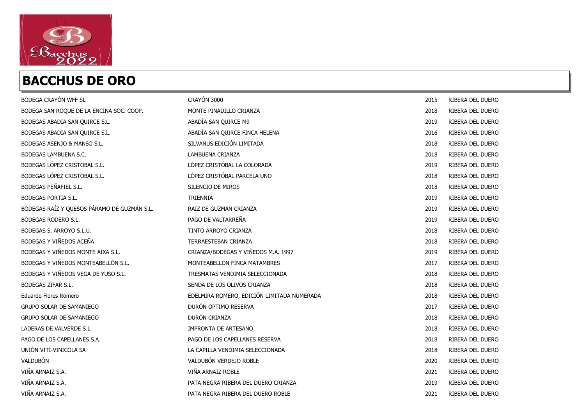

| BODEGA CRAYÓN WFF SL                        | CRAYÓN 3000                                | 2015 | RIBERA DEL DUERO |
|---------------------------------------------|--------------------------------------------|------|------------------|
| BODEGA SAN ROQUE DE LA ENCINA SOC. COOP.    | MONTE PINADILLO CRIANZA                    | 2018 | RIBERA DEL DUERO |
| BODEGAS ABADIA SAN QUIRCE S.L.              | ABADÍA SAN QUIRCE M9                       | 2019 | RIBERA DEL DUERO |
| BODEGAS ABADIA SAN QUIRCE S.L.              | ABADÍA SAN QUIRCE FINCA HELENA             | 2016 | RIBERA DEL DUERO |
| BODEGAS ASENJO & MANSO S.L.                 | SILVANUS EDICIÓN LIMITADA                  | 2018 | RIBERA DEL DUERO |
| BODEGAS LAMBUENA S.C.                       | LAMBUENA CRIANZA                           | 2018 | RIBERA DEL DUERO |
| BODEGAS LÓPEZ CRISTOBAL S.L.                | LÓPEZ CRISTÓBAL LA COLORADA                | 2019 | RIBERA DEL DUERO |
| BODEGAS LÓPEZ CRISTOBAL S.L.                | LÓPEZ CRISTÓBAL PARCELA UNO                | 2018 | RIBERA DEL DUERO |
| BODEGAS PEÑAFIEL S.L.                       | SILENCIO DE MIROS                          | 2018 | RIBERA DEL DUERO |
| BODEGAS PORTIA S.L.                         | <b>TRIENNIA</b>                            | 2019 | RIBERA DEL DUERO |
| BODEGAS RAÍZ Y QUESOS PÁRAMO DE GUZMÁN S.L. | RAIZ DE GUZMAN CRIANZA                     | 2019 | RIBERA DEL DUERO |
| BODEGAS RODERO S.L.                         | PAGO DE VALTARREÑA                         | 2019 | RIBERA DEL DUERO |
| BODEGAS S. ARROYO S.L.U.                    | TINTO ARROYO CRIANZA                       | 2018 | RIBERA DEL DUERO |
| BODEGAS Y VIÑEDOS ACEÑA                     | TERRAESTEBAN CRIANZA                       | 2018 | RIBERA DEL DUERO |
| BODEGAS Y VIÑEDOS MONTE AIXA S.L.           | CRIANZA/BODEGAS Y VIÑEDOS M.A. 1997        | 2019 | RIBERA DEL DUERO |
| BODEGAS Y VIÑEDOS MONTEABELLÓN S.L.         | MONTEABELLON FINCA MATAMBRES               | 2017 | RIBERA DEL DUERO |
| BODEGAS Y VIÑEDOS VEGA DE YUSO S.L.         | TRESMATAS VENDIMIA SELECCIONADA            | 2018 | RIBERA DEL DUERO |
| BODEGAS ZIFAR S.L.                          | SENDA DE LOS OLIVOS CRIANZA                | 2018 | RIBERA DEL DUERO |
| Eduardo Flores Romero                       | EDELMIRA ROMERO, EDICIÓN LIMITADA NUMERADA | 2018 | RIBERA DEL DUERO |
| <b>GRUPO SOLAR DE SAMANIEGO</b>             | DURÓN OPTIMO RESERVA                       | 2017 | RIBERA DEL DUERO |
| <b>GRUPO SOLAR DE SAMANIEGO</b>             | DURÓN CRIANZA                              | 2018 | RIBERA DEL DUERO |
| LADERAS DE VALVERDE S.L.                    | <b>IMPRONTA DE ARTESANO</b>                | 2018 | RIBERA DEL DUERO |
| PAGO DE LOS CAPELLANES S.A.                 | PAGO DE LOS CAPELLANES RESERVA             | 2018 | RIBERA DEL DUERO |
| UNIÓN VITI-VINICOLA SA                      | LA CAPILLA VENDIMIA SELECCIONADA           | 2018 | RIBERA DEL DUERO |
| VALDUBÓN                                    | VALDUBÓN VERDEJO ROBLE                     | 2020 | RIBERA DEL DUERO |
| VIÑA ARNAIZ S.A.                            | VIÑA ARNAIZ ROBLE                          | 2021 | RIBERA DEL DUERO |
| VIÑA ARNAIZ S.A.                            | PATA NEGRA RIBERA DEL DUERO CRIANZA        | 2019 | RIBERA DEL DUERO |
| VIÑA ARNAIZ S.A.                            | PATA NEGRA RIBERA DEL DUERO ROBLE          | 2021 | RIBERA DEL DUERO |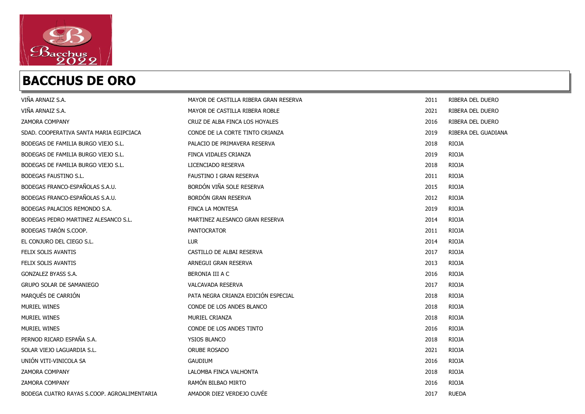

| VIÑA ARNAIZ S.A.                            | MAYOR DE CASTILLA RIBERA GRAN RESERVA | 2011 | RIBERA DEL DUERO    |
|---------------------------------------------|---------------------------------------|------|---------------------|
| VIÑA ARNAIZ S.A.                            | MAYOR DE CASTILLA RIBERA ROBLE        | 2021 | RIBERA DEL DUERO    |
| <b>ZAMORA COMPANY</b>                       | CRUZ DE ALBA FINCA LOS HOYALES        | 2016 | RIBERA DEL DUERO    |
| SDAD. COOPERATIVA SANTA MARIA EGIPCIACA     | CONDE DE LA CORTE TINTO CRIANZA       | 2019 | RIBERA DEL GUADIANA |
| BODEGAS DE FAMILIA BURGO VIEJO S.L.         | PALACIO DE PRIMAVERA RESERVA          | 2018 | <b>RIOJA</b>        |
| BODEGAS DE FAMILIA BURGO VIEJO S.L.         | FINCA VIDALES CRIANZA                 | 2019 | <b>RIOJA</b>        |
| BODEGAS DE FAMILIA BURGO VIEJO S.L.         | LICENCIADO RESERVA                    | 2018 | <b>RIOJA</b>        |
| BODEGAS FAUSTINO S.L.                       | FAUSTINO I GRAN RESERVA               | 2011 | <b>RIOJA</b>        |
| BODEGAS FRANCO-ESPAÑOLAS S.A.U.             | BORDÓN VIÑA SOLE RESERVA              | 2015 | <b>RIOJA</b>        |
| BODEGAS FRANCO-ESPAÑOLAS S.A.U.             | <b>BORDÓN GRAN RESERVA</b>            | 2012 | <b>RIOJA</b>        |
| BODEGAS PALACIOS REMONDO S.A.               | FINCA LA MONTESA                      | 2019 | <b>RIOJA</b>        |
| BODEGAS PEDRO MARTINEZ ALESANCO S.L.        | MARTINEZ ALESANCO GRAN RESERVA        | 2014 | <b>RIOJA</b>        |
| BODEGAS TARÓN S.COOP.                       | <b>PANTOCRATOR</b>                    | 2011 | <b>RIOJA</b>        |
| EL CONJURO DEL CIEGO S.L.                   | <b>LUR</b>                            | 2014 | <b>RIOJA</b>        |
| FELIX SOLIS AVANTIS                         | CASTILLO DE ALBAI RESERVA             | 2017 | <b>RIOJA</b>        |
| FELIX SOLIS AVANTIS                         | ARNEGUI GRAN RESERVA                  | 2013 | <b>RIOJA</b>        |
| GONZALEZ BYASS S.A.                         | BERONIA III A C                       | 2016 | <b>RIOJA</b>        |
| <b>GRUPO SOLAR DE SAMANIEGO</b>             | VALCAVADA RESERVA                     | 2017 | <b>RIOJA</b>        |
| MARQUÉS DE CARRIÓN                          | PATA NEGRA CRIANZA EDICIÓN ESPECIAL   | 2018 | <b>RIOJA</b>        |
| <b>MURIEL WINES</b>                         | CONDE DE LOS ANDES BLANCO             | 2018 | <b>RIOJA</b>        |
| MURIEL WINES                                | MURIEL CRIANZA                        | 2018 | <b>RIOJA</b>        |
| <b>MURIEL WINES</b>                         | CONDE DE LOS ANDES TINTO              | 2016 | <b>RIOJA</b>        |
| PERNOD RICARD ESPAÑA S.A.                   | <b>YSIOS BLANCO</b>                   | 2018 | <b>RIOJA</b>        |
| SOLAR VIEJO LAGUARDIA S.L.                  | <b>ORUBE ROSADO</b>                   | 2021 | <b>RIOJA</b>        |
| UNIÓN VITI-VINICOLA SA                      | <b>GAUDIUM</b>                        | 2016 | <b>RIOJA</b>        |
| <b>ZAMORA COMPANY</b>                       | LALOMBA FINCA VALHONTA                | 2018 | <b>RIOJA</b>        |
| <b>ZAMORA COMPANY</b>                       | RAMÓN BILBAO MIRTO                    | 2016 | <b>RIOJA</b>        |
| BODEGA CUATRO RAYAS S.COOP. AGROALIMENTARIA | AMADOR DIEZ VERDEJO CUVÉE             | 2017 | <b>RUEDA</b>        |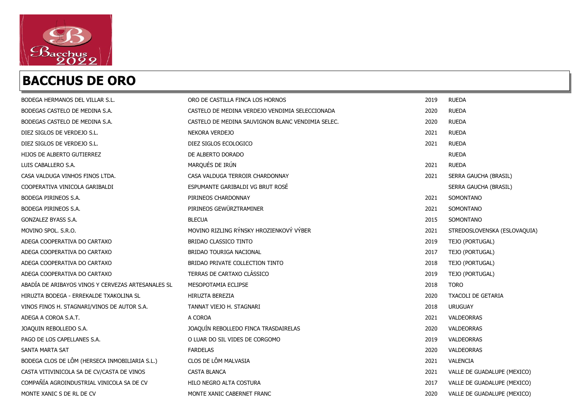

| BODEGA HERMANOS DEL VILLAR S.L.                    | ORO DE CASTILLA FINCA LOS HORNOS                  | 2019 | <b>RUEDA</b>                 |
|----------------------------------------------------|---------------------------------------------------|------|------------------------------|
| BODEGAS CASTELO DE MEDINA S.A.                     | CASTELO DE MEDINA VERDEJO VENDIMIA SELECCIONADA   | 2020 | <b>RUEDA</b>                 |
| BODEGAS CASTELO DE MEDINA S.A.                     | CASTELO DE MEDINA SAUVIGNON BLANC VENDIMIA SELEC. | 2020 | <b>RUEDA</b>                 |
| DIEZ SIGLOS DE VERDEJO S.L.                        | NEKORA VERDEJO                                    | 2021 | <b>RUEDA</b>                 |
| DIEZ SIGLOS DE VERDEJO S.L.                        | DIEZ SIGLOS ECOLOGICO                             | 2021 | <b>RUEDA</b>                 |
| HIJOS DE ALBERTO GUTIERREZ                         | DE ALBERTO DORADO                                 |      | <b>RUEDA</b>                 |
| LUIS CABALLERO S.A.                                | MARQUÉS DE IRÚN                                   | 2021 | <b>RUEDA</b>                 |
| CASA VALDUGA VINHOS FINOS LTDA.                    | CASA VALDUGA TERROIR CHARDONNAY                   | 2021 | SERRA GAUCHA (BRASIL)        |
| COOPERATIVA VINICOLA GARIBALDI                     | ESPUMANTE GARIBALDI VG BRUT ROSÉ                  |      | SERRA GAUCHA (BRASIL)        |
| BODEGA PIRINEOS S.A.                               | PIRINEOS CHARDONNAY                               | 2021 | SOMONTANO                    |
| BODEGA PIRINEOS S.A.                               | PIRINEOS GEWÜRZTRAMINER                           | 2021 | SOMONTANO                    |
| GONZALEZ BYASS S.A.                                | <b>BLECUA</b>                                     | 2015 | SOMONTANO                    |
| MOVINO SPOL. S.R.O.                                | MOVINO RIZLING RÝNSKY HROZIENKOVÝ VÝBER           | 2021 | STREDOSLOVENSKA (ESLOVAQUIA) |
| ADEGA COOPERATIVA DO CARTAXO                       | <b>BRIDAO CLASSICO TINTO</b>                      | 2019 | TEJO (PORTUGAL)              |
| ADEGA COOPERATIVA DO CARTAXO                       | BRIDAO TOURIGA NACIONAL                           | 2017 | TEJO (PORTUGAL)              |
| ADEGA COOPERATIVA DO CARTAXO                       | BRIDAO PRIVATE COLLECTION TINTO                   | 2018 | TEJO (PORTUGAL)              |
| ADEGA COOPERATIVA DO CARTAXO                       | TERRAS DE CARTAXO CLÁSSICO                        | 2019 | TEJO (PORTUGAL)              |
| ABADÍA DE ARIBAYOS VINOS Y CERVEZAS ARTESANALES SL | MESOPOTAMIA ECLIPSE                               | 2018 | <b>TORO</b>                  |
| HIRUZTA BODEGA - ERREKALDE TXAKOLINA SL            | HIRUZTA BEREZIA                                   | 2020 | <b>TXACOLI DE GETARIA</b>    |
| VINOS FINOS H. STAGNARI/VINOS DE AUTOR S.A.        | TANNAT VIEJO H. STAGNARI                          | 2018 | <b>URUGUAY</b>               |
| ADEGA A COROA S.A.T.                               | A COROA                                           | 2021 | VALDEORRAS                   |
| JOAQUIN REBOLLEDO S.A.                             | JOAQUÍN REBOLLEDO FINCA TRASDAIRELAS              | 2020 | VALDEORRAS                   |
| PAGO DE LOS CAPELLANES S.A.                        | O LUAR DO SIL VIDES DE CORGOMO                    | 2019 | VALDEORRAS                   |
| SANTA MARTA SAT                                    | <b>FARDELAS</b>                                   | 2020 | <b>VALDEORRAS</b>            |
| BODEGA CLOS DE LÔM (HERSECA INMOBILIARIA S.L.)     | CLOS DE LÔM MALVASIA                              | 2021 | VALENCIA                     |
| CASTA VITIVINICOLA SA DE CV/CASTA DE VINOS         | <b>CASTA BLANCA</b>                               | 2021 | VALLE DE GUADALUPE (MEXICO)  |
| COMPAÑÍA AGROINDUSTRIAL VINICOLA SA DE CV          | HILO NEGRO ALTA COSTURA                           | 2017 | VALLE DE GUADALUPE (MEXICO)  |
| MONTE XANIC S DE RL DE CV                          | MONTE XANIC CABERNET FRANC                        | 2020 | VALLE DE GUADALUPE (MEXICO)  |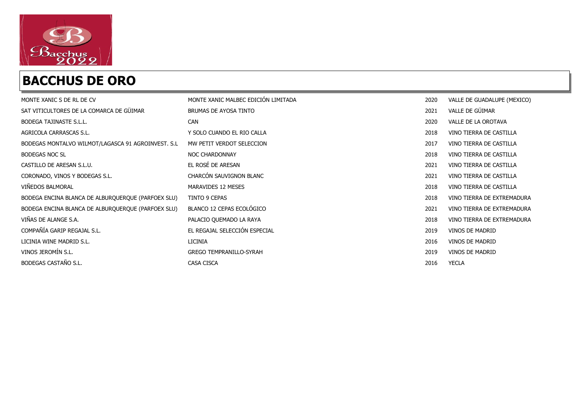

| MONTE XANIC S DE RL DE CV                          | MONTE XANIC MALBEC EDICIÓN LIMITADA | 2020 | VALLE DE GUADALUPE (MEXICO) |
|----------------------------------------------------|-------------------------------------|------|-----------------------------|
| SAT VITICULTORES DE LA COMARCA DE GÜIMAR           | BRUMAS DE AYOSA TINTO               | 2021 | VALLE DE GÜIMAR             |
| BODEGA TAJINASTE S.L.L.                            | <b>CAN</b>                          | 2020 | VALLE DE LA OROTAVA         |
| AGRICOLA CARRASCAS S.L.                            | Y SOLO CUANDO EL RIO CALLA          | 2018 | VINO TIERRA DE CASTILLA     |
| BODEGAS MONTALVO WILMOT/LAGASCA 91 AGROINVEST. S.L | MW PETIT VERDOT SELECCION           | 2017 | VINO TIERRA DE CASTILLA     |
| <b>BODEGAS NOC SL</b>                              | <b>NOC CHARDONNAY</b>               | 2018 | VINO TIERRA DE CASTILLA     |
| CASTILLO DE ARESAN S.L.U.                          | EL ROSÉ DE ARESAN                   | 2021 | VINO TIERRA DE CASTILLA     |
| CORONADO, VINOS Y BODEGAS S.L.                     | CHARCÓN SAUVIGNON BLANC             | 2021 | VINO TIERRA DE CASTILLA     |
| VIÑEDOS BALMORAL                                   | MARAVIDES 12 MESES                  | 2018 | VINO TIERRA DE CASTILLA     |
| BODEGA ENCINA BLANCA DE ALBURQUERQUE (PARFOEX SLU) | TINTO 9 CEPAS                       | 2018 | VINO TIERRA DE EXTREMADURA  |
| BODEGA ENCINA BLANCA DE ALBURQUERQUE (PARFOEX SLU) | BLANCO 12 CEPAS ECOLÓGICO           | 2021 | VINO TIERRA DE EXTREMADURA  |
| VIÑAS DE ALANGE S.A.                               | PALACIO QUEMADO LA RAYA             | 2018 | VINO TIERRA DE EXTREMADURA  |
| COMPAÑÍA GARIP REGAJAL S.L.                        | EL REGAJAL SELECCIÓN ESPECIAL       | 2019 | VINOS DE MADRID             |
| LICINIA WINE MADRID S.L.                           | LICINIA                             | 2016 | VINOS DE MADRID             |
| VINOS JEROMÍN S.L.                                 | <b>GREGO TEMPRANILLO-SYRAH</b>      | 2019 | VINOS DE MADRID             |
| BODEGAS CASTAÑO S.L.                               | CASA CISCA                          | 2016 | <b>YECLA</b>                |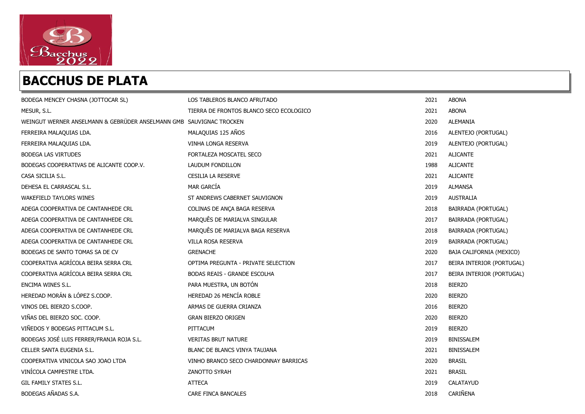

| BODEGA MENCEY CHASNA (JOTTOCAR SL)                                  | LOS TABLEROS BLANCO AFRUTADO            | 2021 | <b>ABONA</b>              |
|---------------------------------------------------------------------|-----------------------------------------|------|---------------------------|
| MESUR, S.L.                                                         | TIERRA DE FRONTOS BLANCO SECO ECOLOGICO | 2021 | <b>ABONA</b>              |
| WEINGUT WERNER ANSELMANN & GEBRÜDER ANSELMANN GMB SAUVIGNAC TROCKEN |                                         | 2020 | ALEMANIA                  |
| FERREIRA MALAQUIAS LDA.                                             | MALAQUIAS 125 AÑOS                      | 2016 | ALENTEJO (PORTUGAL)       |
| FERREIRA MALAQUIAS LDA.                                             | VINHA LONGA RESERVA                     | 2019 | ALENTEJO (PORTUGAL)       |
| BODEGA LAS VIRTUDES                                                 | FORTALEZA MOSCATEL SECO                 | 2021 | <b>ALICANTE</b>           |
| BODEGAS COOPERATIVAS DE ALICANTE COOP.V.                            | LAUDUM FONDILLON                        | 1988 | <b>ALICANTE</b>           |
| CASA SICILIA S.L.                                                   | <b>CESILIA LA RESERVE</b>               | 2021 | <b>ALICANTE</b>           |
| DEHESA EL CARRASCAL S.L.                                            | <b>MAR GARCÍA</b>                       | 2019 | ALMANSA                   |
| <b>WAKEFIELD TAYLORS WINES</b>                                      | ST ANDREWS CABERNET SAUVIGNON           | 2019 | AUSTRALIA                 |
| ADEGA COOPERATIVA DE CANTANHEDE CRL                                 | COLINAS DE ANÇA BAGA RESERVA            | 2018 | BAIRRADA (PORTUGAL)       |
| ADEGA COOPERATIVA DE CANTANHEDE CRL                                 | MARQUÊS DE MARIALVA SINGULAR            | 2017 | BAIRRADA (PORTUGAL)       |
| ADEGA COOPERATIVA DE CANTANHEDE CRL                                 | MARQUÊS DE MARIALVA BAGA RESERVA        | 2018 | BAIRRADA (PORTUGAL)       |
| ADEGA COOPERATIVA DE CANTANHEDE CRL                                 | VILLA ROSA RESERVA                      | 2019 | BAIRRADA (PORTUGAL)       |
| BODEGAS DE SANTO TOMAS SA DE CV                                     | <b>GRENACHE</b>                         | 2020 | BAJA CALIFORNIA (MEXICO)  |
| COOPERATIVA AGRÍCOLA BEIRA SERRA CRL                                | OPTIMA PREGUNTA - PRIVATE SELECTION     | 2017 | BEIRA INTERIOR (PORTUGAL) |
| COOPERATIVA AGRÍCOLA BEIRA SERRA CRL                                | BODAS REAIS - GRANDE ESCOLHA            | 2017 | BEIRA INTERIOR (PORTUGAL) |
| ENCIMA WINES S.L.                                                   | PARA MUESTRA, UN BOTÓN                  | 2018 | <b>BIERZO</b>             |
| HEREDAD MORÁN & LÓPEZ S.COOP.                                       | HEREDAD 26 MENCÍA ROBLE                 | 2020 | <b>BIERZO</b>             |
| VINOS DEL BIERZO S.COOP.                                            | ARMAS DE GUERRA CRIANZA                 | 2016 | <b>BIERZO</b>             |
| VIÑAS DEL BIERZO SOC. COOP.                                         | <b>GRAN BIERZO ORIGEN</b>               | 2020 | <b>BIERZO</b>             |
| VIÑEDOS Y BODEGAS PITTACUM S.L.                                     | PITTACUM                                | 2019 | <b>BIERZO</b>             |
| BODEGAS JOSÉ LUIS FERRER/FRANJA ROJA S.L.                           | <b>VERITAS BRUT NATURE</b>              | 2019 | BINISSALEM                |
| CELLER SANTA EUGENIA S.L.                                           | BLANC DE BLANCS VINYA TAUJANA           | 2021 | <b>BINISSALEM</b>         |
| COOPERATIVA VINICOLA SAO JOAO LTDA                                  | VINHO BRANCO SECO CHARDONNAY BARRICAS   | 2020 | <b>BRASIL</b>             |
| VINÍCOLA CAMPESTRE LTDA.                                            | <b>ZANOTTO SYRAH</b>                    | 2021 | <b>BRASIL</b>             |
| GIL FAMILY STATES S.L.                                              | <b>ATTECA</b>                           | 2019 | CALATAYUD                 |
| BODEGAS AÑADAS S.A.                                                 | CARE FINCA BANCALES                     | 2018 | CARIÑENA                  |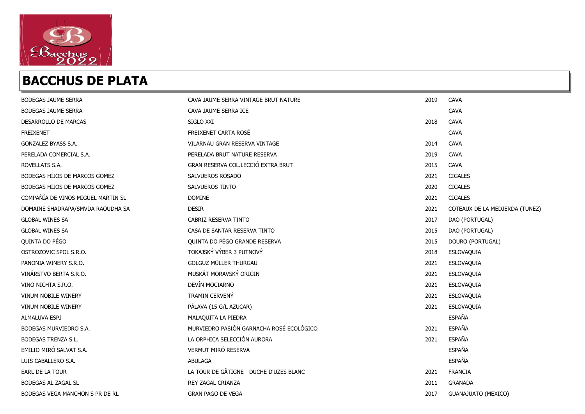

| <b>BODEGAS JAUME SERRA</b>         | CAVA JAUME SERRA VINTAGE BRUT NATURE     | 2019 | <b>CAVA</b>                    |
|------------------------------------|------------------------------------------|------|--------------------------------|
| <b>BODEGAS JAUME SERRA</b>         | CAVA JAUME SERRA ICE                     |      | <b>CAVA</b>                    |
| DESARROLLO DE MARCAS               | SIGLO XXI                                | 2018 | <b>CAVA</b>                    |
| <b>FREIXENET</b>                   | FREIXENET CARTA ROSÉ                     |      | <b>CAVA</b>                    |
| GONZALEZ BYASS S.A.                | VILARNAU GRAN RESERVA VINTAGE            | 2014 | <b>CAVA</b>                    |
| PERELADA COMERCIAL S.A.            | PERELADA BRUT NATURE RESERVA             | 2019 | <b>CAVA</b>                    |
| ROVELLATS S.A.                     | GRAN RESERVA COL.LECCIÓ EXTRA BRUT       | 2015 | <b>CAVA</b>                    |
| BODEGAS HIJOS DE MARCOS GOMEZ      | SALVUEROS ROSADO                         | 2021 | <b>CIGALES</b>                 |
| BODEGAS HIJOS DE MARCOS GOMEZ      | SALVUEROS TINTO                          | 2020 | <b>CIGALES</b>                 |
| COMPAÑÍA DE VINOS MIGUEL MARTIN SL | <b>DOMINE</b>                            | 2021 | <b>CIGALES</b>                 |
| DOMAINE SHADRAPA/SMVDA RAOUDHA SA  | <b>DESIR</b>                             | 2021 | COTEAUX DE LA MEDJERDA (TUNEZ) |
| <b>GLOBAL WINES SA</b>             | CABRIZ RESERVA TINTO                     | 2017 | DAO (PORTUGAL)                 |
| <b>GLOBAL WINES SA</b>             | CASA DE SANTAR RESERVA TINTO             | 2015 | DAO (PORTUGAL)                 |
| QUINTA DO PÉGO                     | QUINTA DO PÉGO GRANDE RESERVA            | 2015 | DOURO (PORTUGAL)               |
| OSTROZOVIC SPOL S.R.O.             | TOKAJSKÝ VÝBER 3 PUTNOVÝ                 | 2018 | ESLOVAQUIA                     |
| PANONIA WINERY S.R.O.              | <b>GOLGUZ MÜLLER THURGAU</b>             | 2021 | ESLOVAQUIA                     |
| VINÁRSTVO BERTA S.R.O.             | MUSKÁT MORAVSKÝ ORIGIN                   | 2021 | ESLOVAQUIA                     |
| VINO NICHTA S.R.O.                 | DEVÍN MOCIARNO                           | 2021 | ESLOVAQUIA                     |
| <b>VINUM NOBILE WINERY</b>         | TRAMIN CERVENY                           | 2021 | ESLOVAQUIA                     |
| <b>VINUM NOBILE WINERY</b>         | PÁLAVA (15 G/L AZUCAR)                   | 2021 | ESLOVAQUIA                     |
| ALMALUVA ESPJ                      | MALAQUITA LA PIEDRA                      |      | ESPAÑA                         |
| BODEGAS MURVIEDRO S.A.             | MURVIEDRO PASIÓN GARNACHA ROSÉ ECOLÓGICO | 2021 | ESPAÑA                         |
| <b>BODEGAS TRENZA S.L.</b>         | LA ORPHICA SELECCIÓN AURORA              | 2021 | ESPAÑA                         |
| EMILIO MIRÓ SALVAT S.A.            | VERMUT MIRÓ RESERVA                      |      | ESPAÑA                         |
| LUIS CABALLERO S.A.                | <b>ABULAGA</b>                           |      | <b>ESPAÑA</b>                  |
| EARL DE LA TOUR                    | LA TOUR DE GÂTIGNE - DUCHE D'UZES BLANC  | 2021 | <b>FRANCIA</b>                 |
| BODEGAS AL ZAGAL SL                | REY ZAGAL CRIANZA                        | 2011 | <b>GRANADA</b>                 |
| BODEGAS VEGA MANCHON S PR DE RL    | <b>GRAN PAGO DE VEGA</b>                 | 2017 | <b>GUANAJUATO (MEXICO)</b>     |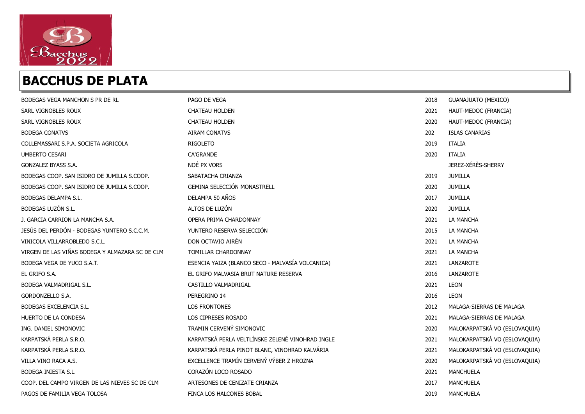

| BODEGAS VEGA MANCHON S PR DE RL                 | PAGO DE VEGA                                     | 2018 | <b>GUANAJUATO (MEXICO)</b>    |
|-------------------------------------------------|--------------------------------------------------|------|-------------------------------|
| SARL VIGNOBLES ROUX                             | <b>CHATEAU HOLDEN</b>                            | 2021 | HAUT-MEDOC (FRANCIA)          |
| SARL VIGNOBLES ROUX                             | <b>CHATEAU HOLDEN</b>                            | 2020 | HAUT-MEDOC (FRANCIA)          |
| <b>BODEGA CONATVS</b>                           | <b>AIRAM CONATVS</b>                             | 202  | <b>ISLAS CANARIAS</b>         |
| COLLEMASSARI S.P.A. SOCIETA AGRICOLA            | <b>RIGOLETO</b>                                  | 2019 | <b>ITALIA</b>                 |
| <b>UMBERTO CESARI</b>                           | <b>CA'GRANDE</b>                                 | 2020 | <b>ITALIA</b>                 |
| GONZALEZ BYASS S.A.                             | NOÉ PX VORS                                      |      | JEREZ-XÉRÈS-SHERRY            |
| BODEGAS COOP. SAN ISIDRO DE JUMILLA S.COOP.     | SABATACHA CRIANZA                                | 2019 | <b>JUMILLA</b>                |
| BODEGAS COOP. SAN ISIDRO DE JUMILLA S.COOP.     | <b>GEMINA SELECCIÓN MONASTRELL</b>               | 2020 | <b>JUMILLA</b>                |
| BODEGAS DELAMPA S.L.                            | DELAMPA 50 AÑOS                                  | 2017 | <b>JUMILLA</b>                |
| BODEGAS LUZÓN S.L.                              | ALTOS DE LUZÓN                                   | 2020 | <b>JUMILLA</b>                |
| J. GARCIA CARRION LA MANCHA S.A.                | OPERA PRIMA CHARDONNAY                           | 2021 | LA MANCHA                     |
| JESÚS DEL PERDÓN - BODEGAS YUNTERO S.C.C.M.     | YUNTERO RESERVA SELECCIÓN                        | 2015 | <b>LA MANCHA</b>              |
| VINICOLA VILLARROBLEDO S.C.L.                   | DON OCTAVIO AIRÉN                                | 2021 | LA MANCHA                     |
| VIRGEN DE LAS VIÑAS BODEGA Y ALMAZARA SC DE CLM | TOMILLAR CHARDONNAY                              | 2021 | LA MANCHA                     |
| BODEGA VEGA DE YUCO S.A.T.                      | ESENCIA YAIZA (BLANCO SECO - MALVASÍA VOLCANICA) | 2021 | LANZAROTE                     |
| EL GRIFO S.A.                                   | EL GRIFO MALVASIA BRUT NATURE RESERVA            | 2016 | LANZAROTE                     |
| BODEGA VALMADRIGAL S.L.                         | CASTILLO VALMADRIGAL                             | 2021 | <b>LEON</b>                   |
| GORDONZELLO S.A.                                | PEREGRINO 14                                     | 2016 | <b>LEON</b>                   |
| BODEGAS EXCELENCIA S.L.                         | <b>LOS FRONTONES</b>                             | 2012 | MALAGA-SIERRAS DE MALAGA      |
| HUERTO DE LA CONDESA                            | LOS CIPRESES ROSADO                              | 2021 | MALAGA-SIERRAS DE MALAGA      |
| ING. DANIEL SIMONOVIC                           | TRAMIN CERVENÝ SIMONOVIC                         | 2020 | MALOKARPATSKÁ VO (ESLOVAQUIA) |
| KARPATSKÁ PERLA S.R.O.                          | KARPATSKÁ PERLA VELTLÍNSKE ZELENÉ VINOHRAD INGLE | 2021 | MALOKARPATSKÁ VO (ESLOVAQUIA) |
| KARPATSKÁ PERLA S.R.O.                          | KARPATSKÁ PERLA PINOT BLANC, VINOHRAD KALVÁRIA   | 2021 | MALOKARPATSKÁ VO (ESLOVAQUIA) |
| VILLA VINO RACA A.S.                            | EXCELLENCE TRAMÍN CERVENÝ VÝBER Z HROZNA         | 2020 | MALOKARPATSKÁ VO (ESLOVAQUIA) |
| BODEGA INIESTA S.L.                             | CORAZÓN LOCO ROSADO                              | 2021 | <b>MANCHUELA</b>              |
| COOP. DEL CAMPO VIRGEN DE LAS NIEVES SC DE CLM  | ARTESONES DE CENIZATE CRIANZA                    | 2017 | <b>MANCHUELA</b>              |
| PAGOS DE FAMILIA VEGA TOLOSA                    | FINCA LOS HALCONES BOBAL                         | 2019 | MANCHUELA                     |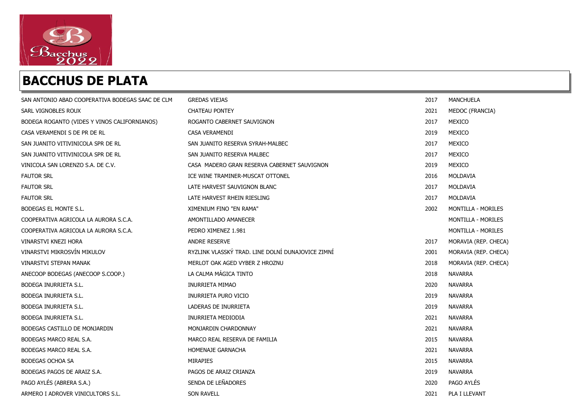

| SAN ANTONIO ABAD COOPERATIVA BODEGAS SAAC DE CLM | <b>GREDAS VIEJAS</b>                              | 2017 | MANCHUELA            |
|--------------------------------------------------|---------------------------------------------------|------|----------------------|
| SARL VIGNOBLES ROUX                              | CHATEAU PONTEY                                    | 2021 | MEDOC (FRANCIA)      |
| BODEGA ROGANTO (VIDES Y VINOS CALIFORNIANOS)     | ROGANTO CABERNET SAUVIGNON                        | 2017 | MEXICO               |
| CASA VERAMENDI S DE PR DE RL                     | CASA VERAMENDI                                    | 2019 | MEXICO               |
| SAN JUANITO VITIVINICOLA SPR DE RL               | SAN JUANITO RESERVA SYRAH-MALBEC                  | 2017 | MEXICO               |
| SAN JUANITO VITIVINICOLA SPR DE RL               | SAN JUANITO RESERVA MALBEC                        | 2017 | MEXICO               |
| VINICOLA SAN LORENZO S.A. DE C.V.                | CASA MADERO GRAN RESERVA CABERNET SAUVIGNON       | 2019 | MEXICO               |
| <b>FAUTOR SRL</b>                                | ICE WINE TRAMINER-MUSCAT OTTONEL                  | 2016 | MOLDAVIA             |
| <b>FAUTOR SRL</b>                                | LATE HARVEST SAUVIGNON BLANC                      | 2017 | MOLDAVIA             |
| <b>FAUTOR SRL</b>                                | LATE HARVEST RHEIN RIESLING                       | 2017 | MOLDAVIA             |
| BODEGAS EL MONTE S.L.                            | XIMENIUM FINO "EN RAMA"                           | 2002 | MONTILLA - MORILES   |
| COOPERATIVA AGRICOLA LA AURORA S.C.A.            | AMONTILLADO AMANECER                              |      | MONTILLA - MORILES   |
| COOPERATIVA AGRICOLA LA AURORA S.C.A.            | PEDRO XIMENEZ 1.981                               |      | MONTILLA - MORILES   |
| VINARSTVI KNEZI HORA                             | ANDRE RESERVE                                     | 2017 | MORAVIA (REP. CHECA) |
| VINARSTVI MIKROSVÍN MIKULOV                      | RYZLINK VLASSKÝ TRAD. LINE DOLNÍ DUNAJOVICE ZIMNÍ | 2001 | MORAVIA (REP. CHECA) |
| <b>VINARSTVI STEPAN MANAK</b>                    | MERLOT OAK AGED VYBER Z HROZNU                    | 2018 | MORAVIA (REP. CHECA) |
| ANECOOP BODEGAS (ANECOOP S.COOP.)                | LA CALMA MÁGICA TINTO                             | 2018 | NAVARRA              |
| BODEGA INURRIETA S.L.                            | <b>INURRIETA MIMAO</b>                            | 2020 | NAVARRA              |
| BODEGA INURRIETA S.L.                            | INURRIETA PURO VICIO                              | 2019 | <b>NAVARRA</b>       |
| BODEGA INURRIETA S.L.                            | LADERAS DE INURRIETA                              | 2019 | NAVARRA              |
| <b>BODEGA INURRIETA S.L.</b>                     | <b>INURRIETA MEDIODIA</b>                         | 2021 | <b>NAVARRA</b>       |
| BODEGAS CASTILLO DE MONJARDIN                    | MONJARDIN CHARDONNAY                              | 2021 | <b>NAVARRA</b>       |
| BODEGAS MARCO REAL S.A.                          | MARCO REAL RESERVA DE FAMILIA                     | 2015 | <b>NAVARRA</b>       |
| BODEGAS MARCO REAL S.A.                          | HOMENAJE GARNACHA                                 | 2021 | NAVARRA              |
| <b>BODEGAS OCHOA SA</b>                          | MIRAPIES                                          | 2015 | NAVARRA              |
| BODEGAS PAGOS DE ARAIZ S.A.                      | PAGOS DE ARAIZ CRIANZA                            | 2019 | NAVARRA              |
| PAGO AYLÉS (ABRERA S.A.)                         | SENDA DE LEÑADORES                                | 2020 | PAGO AYLÉS           |
| ARMERO I ADROVER VINICULTORS S.L.                | <b>SON RAVELL</b>                                 | 2021 | PLA I LLEVANT        |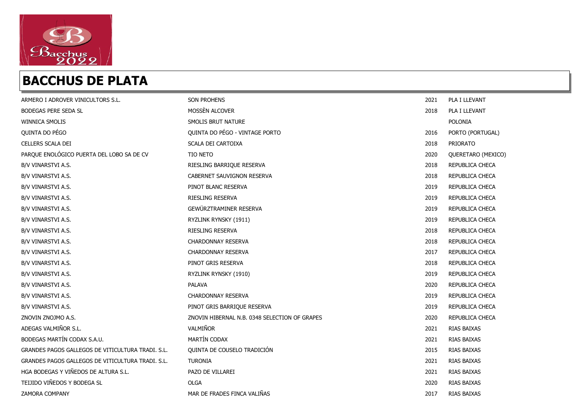

| ARMERO I ADROVER VINICULTORS S.L.                 | <b>SON PROHENS</b>                            | 2021 | PLA I LLEVANT      |
|---------------------------------------------------|-----------------------------------------------|------|--------------------|
| <b>BODEGAS PERE SEDA SL</b>                       | MOSSÈN ALCOVER                                | 2018 | PLA I LLEVANT      |
| <b>WINNICA SMOLIS</b>                             | SMOLIS BRUT NATURE                            |      | POLONIA            |
| QUINTA DO PÉGO                                    | QUINTA DO PÉGO - VINTAGE PORTO                | 2016 | PORTO (PORTUGAL)   |
| CELLERS SCALA DEI                                 | SCALA DEI CARTOIXA                            | 2018 | PRIORATO           |
| PARQUE ENOLÓGICO PUERTA DEL LOBO SA DE CV         | <b>TIO NETO</b>                               | 2020 | QUERETARO (MEXICO) |
| B/V VINARSTVI A.S.                                | RIESLING BARRIQUE RESERVA                     | 2018 | REPUBLICA CHECA    |
| B/V VINARSTVI A.S.                                | CABERNET SAUVIGNON RESERVA                    | 2018 | REPUBLICA CHECA    |
| B/V VINARSTVI A.S.                                | PINOT BLANC RESERVA                           | 2019 | REPUBLICA CHECA    |
| B/V VINARSTVI A.S.                                | <b>RIESLING RESERVA</b>                       | 2019 | REPUBLICA CHECA    |
| B/V VINARSTVI A.S.                                | GEWÜRZTRAMINER RESERVA                        | 2019 | REPUBLICA CHECA    |
| B/V VINARSTVI A.S.                                | RYZLINK RYNSKY (1911)                         | 2019 | REPUBLICA CHECA    |
| B/V VINARSTVI A.S.                                | <b>RIESLING RESERVA</b>                       | 2018 | REPUBLICA CHECA    |
| B/V VINARSTVI A.S.                                | <b>CHARDONNAY RESERVA</b>                     | 2018 | REPUBLICA CHECA    |
| B/V VINARSTVI A.S.                                | <b>CHARDONNAY RESERVA</b>                     | 2017 | REPUBLICA CHECA    |
| B/V VINARSTVI A.S.                                | PINOT GRIS RESERVA                            | 2018 | REPUBLICA CHECA    |
| B/V VINARSTVI A.S.                                | RYZLINK RYNSKY (1910)                         | 2019 | REPUBLICA CHECA    |
| B/V VINARSTVI A.S.                                | PALAVA                                        | 2020 | REPUBLICA CHECA    |
| B/V VINARSTVI A.S.                                | <b>CHARDONNAY RESERVA</b>                     | 2019 | REPUBLICA CHECA    |
| B/V VINARSTVI A.S.                                | PINOT GRIS BARRIQUE RESERVA                   | 2019 | REPUBLICA CHECA    |
| ZNOVIN ZNOJMO A.S.                                | ZNOVIN HIBERNAL N.B. 0348 SELECTION OF GRAPES | 2020 | REPUBLICA CHECA    |
| ADEGAS VALMIÑOR S.L.                              | VALMIÑOR                                      | 2021 | RIAS BAIXAS        |
| BODEGAS MARTÍN CODAX S.A.U.                       | MARTÍN CODAX                                  | 2021 | RIAS BAIXAS        |
| GRANDES PAGOS GALLEGOS DE VITICULTURA TRADI, S.L. | QUINTA DE COUSELO TRADICIÓN                   | 2015 | RIAS BAIXAS        |
| GRANDES PAGOS GALLEGOS DE VITICULTURA TRADI, S.L. | <b>TURONIA</b>                                | 2021 | RIAS BAIXAS        |
| HGA BODEGAS Y VIÑEDOS DE ALTURA S.L.              | PAZO DE VILLAREI                              | 2021 | RIAS BAIXAS        |
| TEIJIDO VIÑEDOS Y BODEGA SL                       | <b>OLGA</b>                                   | 2020 | RIAS BAIXAS        |
| ZAMORA COMPANY                                    | MAR DE FRADES FINCA VALIÑAS                   | 2017 | RIAS BAIXAS        |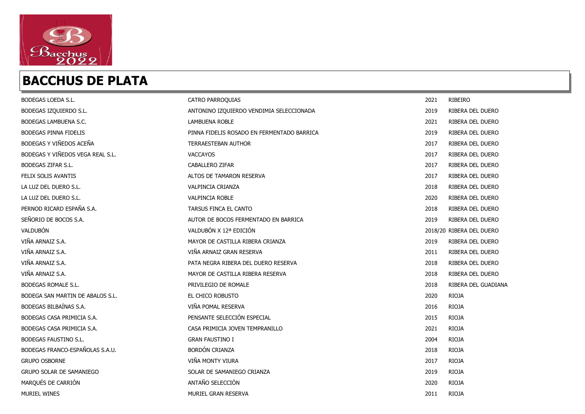

| BODEGAS LOEDA S.L.               | <b>CATRO PARROQUIAS</b>                    | 2021 | RIBEIRO                  |
|----------------------------------|--------------------------------------------|------|--------------------------|
| BODEGAS IZQUIERDO S.L.           | ANTONINO IZQUIERDO VENDIMIA SELECCIONADA   | 2019 | RIBERA DEL DUERO         |
| BODEGAS LAMBUENA S.C.            | <b>LAMBUENA ROBLE</b>                      | 2021 | RIBERA DEL DUERO         |
| BODEGAS PINNA FIDELIS            | PINNA FIDELIS ROSADO EN FERMENTADO BARRICA | 2019 | RIBERA DEL DUERO         |
| BODEGAS Y VIÑEDOS ACEÑA          | <b>TERRAESTEBAN AUTHOR</b>                 | 2017 | RIBERA DEL DUERO         |
| BODEGAS Y VIÑEDOS VEGA REAL S.L. | VACCAYOS                                   | 2017 | RIBERA DEL DUERO         |
| BODEGAS ZIFAR S.L.               | CABALLERO ZIFAR                            | 2017 | RIBERA DEL DUERO         |
| FELIX SOLIS AVANTIS              | ALTOS DE TAMARON RESERVA                   | 2017 | RIBERA DEL DUERO         |
| LA LUZ DEL DUERO S.L.            | VALPINCIA CRIANZA                          | 2018 | RIBERA DEL DUERO         |
| LA LUZ DEL DUERO S.L.            | <b>VALPINCIA ROBLE</b>                     | 2020 | RIBERA DEL DUERO         |
| PERNOD RICARD ESPAÑA S.A.        | TARSUS FINCA EL CANTO                      | 2018 | RIBERA DEL DUERO         |
| SEÑORIO DE BOCOS S.A.            | AUTOR DE BOCOS FERMENTADO EN BARRICA       | 2019 | RIBERA DEL DUERO         |
| VALDUBÓN                         | VALDUBÓN X 12ª EDICIÓN                     |      | 2018/20 RIBERA DEL DUERO |
| VIÑA ARNAIZ S.A.                 | MAYOR DE CASTILLA RIBERA CRIANZA           | 2019 | RIBERA DEL DUERO         |
| VIÑA ARNAIZ S.A.                 | VIÑA ARNAIZ GRAN RESERVA                   | 2011 | RIBERA DEL DUERO         |
| VIÑA ARNAIZ S.A.                 | PATA NEGRA RIBERA DEL DUERO RESERVA        | 2018 | RIBERA DEL DUERO         |
| VIÑA ARNAIZ S.A.                 | MAYOR DE CASTILLA RIBERA RESERVA           | 2018 | RIBERA DEL DUERO         |
| BODEGAS ROMALE S.L.              | PRIVILEGIO DE ROMALE                       | 2018 | RIBERA DEL GUADIANA      |
| BODEGA SAN MARTIN DE ABALOS S.L. | EL CHICO ROBUSTO                           | 2020 | <b>RIOJA</b>             |
| BODEGAS BILBAÍNAS S.A.           | VIÑA POMAL RESERVA                         | 2016 | <b>RIOJA</b>             |
| BODEGAS CASA PRIMICIA S.A.       | PENSANTE SELECCIÓN ESPECIAL                | 2015 | <b>RIOJA</b>             |
| BODEGAS CASA PRIMICIA S.A.       | CASA PRIMICIA JOVEN TEMPRANILLO            | 2021 | <b>RIOJA</b>             |
| <b>BODEGAS FAUSTINO S.L.</b>     | <b>GRAN FAUSTINO I</b>                     | 2004 | <b>RIOJA</b>             |
| BODEGAS FRANCO-ESPAÑOLAS S.A.U.  | <b>BORDÓN CRIANZA</b>                      | 2018 | <b>RIOJA</b>             |
| <b>GRUPO OSBORNE</b>             | VIÑA MONTY VIURA                           | 2017 | <b>RIOJA</b>             |
| <b>GRUPO SOLAR DE SAMANIEGO</b>  | SOLAR DE SAMANIEGO CRIANZA                 | 2019 | <b>RIOJA</b>             |
| MARQUÉS DE CARRIÓN               | ANTAÑO SELECCIÓN                           | 2020 | <b>RIOJA</b>             |
| <b>MURIEL WINES</b>              | MURIEL GRAN RESERVA                        | 2011 | <b>RIOJA</b>             |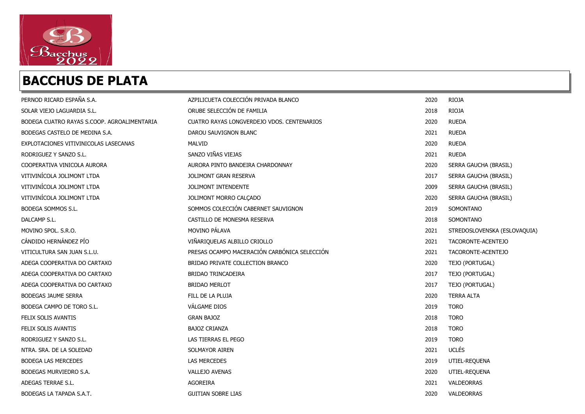

| PERNOD RICARD ESPAÑA S.A.                   | AZPILICUETA COLECCIÓN PRIVADA BLANCO         | 2020 | <b>RIOJA</b>                 |
|---------------------------------------------|----------------------------------------------|------|------------------------------|
| SOLAR VIEJO LAGUARDIA S.L.                  | ORUBE SELECCIÓN DE FAMILIA                   | 2018 | <b>RIOJA</b>                 |
| BODEGA CUATRO RAYAS S.COOP, AGROALIMENTARIA | CUATRO RAYAS LONGVERDEJO VDOS, CENTENARIOS   | 2020 | <b>RUEDA</b>                 |
| BODEGAS CASTELO DE MEDINA S.A.              | DAROU SAUVIGNON BLANC                        | 2021 | <b>RUEDA</b>                 |
| EXPLOTACIONES VITIVINICOLAS LASECANAS       | MALVID                                       | 2020 | <b>RUEDA</b>                 |
| RODRIGUEZ Y SANZO S.L.                      | SANZO VIÑAS VIEJAS                           | 2021 | <b>RUEDA</b>                 |
| COOPERATIVA VINICOLA AURORA                 | AURORA PINTO BANDEIRA CHARDONNAY             | 2020 | SERRA GAUCHA (BRASIL)        |
| VITIVINÍCOLA JOLIMONT LTDA                  | <b>JOLIMONT GRAN RESERVA</b>                 | 2017 | SERRA GAUCHA (BRASIL)        |
| VITIVINÍCOLA JOLIMONT LTDA                  | JOLIMONT INTENDENTE                          | 2009 | SERRA GAUCHA (BRASIL)        |
| VITIVINÍCOLA JOLIMONT LTDA                  | JOLIMONT MORRO CALÇADO                       | 2020 | SERRA GAUCHA (BRASIL)        |
| BODEGA SOMMOS S.L.                          | SOMMOS COLECCIÓN CABERNET SAUVIGNON          | 2019 | SOMONTANO                    |
| DALCAMP S.L.                                | CASTILLO DE MONESMA RESERVA                  | 2018 | SOMONTANO                    |
| MOVINO SPOL, S.R.O.                         | MOVINO PÁLAVA                                | 2021 | STREDOSLOVENSKA (ESLOVAQUIA) |
| CÁNDIDO HERNÁNDEZ PÍO                       | VIÑARIQUELAS ALBILLO CRIOLLO                 | 2021 | TACORONTE-ACENTEJO           |
| VITICULTURA SAN JUAN S.L.U.                 | PRESAS OCAMPO MACERACIÓN CARBÓNICA SELECCIÓN | 2021 | TACORONTE-ACENTEJO           |
| ADEGA COOPERATIVA DO CARTAXO                | BRIDAO PRIVATE COLLECTION BRANCO             | 2020 | TEJO (PORTUGAL)              |
| ADEGA COOPERATIVA DO CARTAXO                | BRIDAO TRINCADEIRA                           | 2017 | TEJO (PORTUGAL)              |
| ADEGA COOPERATIVA DO CARTAXO                | <b>BRIDAO MERLOT</b>                         | 2017 | TEJO (PORTUGAL)              |
| BODEGAS JAUME SERRA                         | FILL DE LA PLUJA                             | 2020 | <b>TERRA ALTA</b>            |
| BODEGA CAMPO DE TORO S.L.                   | VÁLGAME DIOS                                 | 2019 | <b>TORO</b>                  |
| FELIX SOLIS AVANTIS                         | <b>GRAN BAJOZ</b>                            | 2018 | <b>TORO</b>                  |
| FELIX SOLIS AVANTIS                         | <b>BAJOZ CRIANZA</b>                         | 2018 | <b>TORO</b>                  |
| RODRIGUEZ Y SANZO S.L.                      | LAS TIERRAS EL PEGO                          | 2019 | <b>TORO</b>                  |
| NTRA, SRA, DE LA SOLEDAD                    | SOLMAYOR AIREN                               | 2021 | <b>UCLÉS</b>                 |
| <b>BODEGA LAS MERCEDES</b>                  | <b>LAS MERCEDES</b>                          | 2019 | UTIEL-REQUENA                |
| BODEGAS MURVIEDRO S.A.                      | VALLEJO AVENAS                               | 2020 | UTIEL-REQUENA                |
| ADEGAS TERRAE S.L.                          | AGOREIRA                                     | 2021 | VALDEORRAS                   |
| BODEGAS LA TAPADA S.A.T.                    | <b>GUITIAN SOBRE LIAS</b>                    | 2020 | VALDEORRAS                   |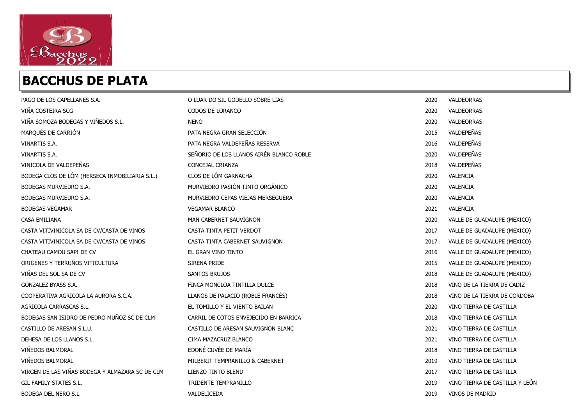

| PAGO DE LOS CAPELLANES S.A.                     | O LUAR DO SIL GODELLO SOBRE LIAS         | 2020 | VALDEORRAS                     |
|-------------------------------------------------|------------------------------------------|------|--------------------------------|
| VIÑA COSTEIRA SCG                               | CODOS DE LORANCO                         | 2020 | VALDEORRAS                     |
| VIÑA SOMOZA BODEGAS Y VIÑEDOS S.L.              | <b>NENO</b>                              | 2020 | <b>VALDEORRAS</b>              |
| MARQUÉS DE CARRIÓN                              | PATA NEGRA GRAN SELECCIÓN                | 2015 | VALDEPEÑAS                     |
| VINARTIS S.A.                                   | PATA NEGRA VALDEPEÑAS RESERVA            | 2016 | VALDEPEÑAS                     |
| <b>VINARTIS S.A.</b>                            | SEÑORIO DE LOS LLANOS AIRÉN BLANCO ROBLE | 2020 | VALDEPEÑAS                     |
| VINICOLA DE VALDEPEÑAS                          | CONCEJAL CRIANZA                         | 2018 | VALDEPEÑAS                     |
| BODEGA CLOS DE LÔM (HERSECA INMOBILIARIA S.L.)  | CLOS DE LÔM GARNACHA                     | 2020 | VALENCIA                       |
| BODEGAS MURVIEDRO S.A.                          | MURVIEDRO PASIÓN TINTO ORGÁNICO          | 2020 | VALENCIA                       |
| BODEGAS MURVIEDRO S.A.                          | MURVIEDRO CEPAS VIEJAS MERSEGUERA        | 2020 | VALENCIA                       |
| <b>BODEGAS VEGAMAR</b>                          | <b>VEGAMAR BLANCO</b>                    | 2021 | VALENCIA                       |
| CASA EMILIANA                                   | MAN CABERNET SAUVIGNON                   | 2020 | VALLE DE GUADALUPE (MEXICO)    |
| CASTA VITIVINICOLA SA DE CV/CASTA DE VINOS      | CASTA TINTA PETIT VERDOT                 | 2017 | VALLE DE GUADALUPE (MEXICO)    |
| CASTA VITIVINICOLA SA DE CV/CASTA DE VINOS      | CASTA TINTA CABERNET SAUVIGNON           | 2017 | VALLE DE GUADALUPE (MEXICO)    |
| CHATEAU CAMOU SAPI DE CV                        | EL GRAN VINO TINTO                       | 2016 | VALLE DE GUADALUPE (MEXICO)    |
| ORIGENES Y TERRUÑOS VITICULTURA                 | SIRENA PRIDE                             | 2015 | VALLE DE GUADALUPE (MEXICO)    |
| VIÑAS DEL SOL SA DE CV                          | <b>SANTOS BRUJOS</b>                     | 2018 | VALLE DE GUADALUPE (MEXICO)    |
| GONZALEZ BYASS S.A.                             | FINCA MONCLOA TINTILLA DULCE             | 2018 | VINO DE LA TIERRA DE CADIZ     |
| COOPERATIVA AGRICOLA LA AURORA S.C.A.           | LLANOS DE PALACIO (ROBLE FRANCÉS)        | 2018 | VINO DE LA TIERRA DE CORDOBA   |
| AGRICOLA CARRASCAS S.L.                         | EL TOMILLO Y EL VIENTO BAILAN            | 2020 | VINO TIERRA DE CASTILLA        |
| BODEGAS SAN ISIDRO DE PEDRO MUÑOZ SC DE CLM     | CARRIL DE COTOS ENVEJECIDO EN BARRICA    | 2018 | VINO TIERRA DE CASTILLA        |
| CASTILLO DE ARESAN S.L.U.                       | CASTILLO DE ARESAN SAUVIGNON BLANC       | 2021 | VINO TIERRA DE CASTILLA        |
| DEHESA DE LOS LLANOS S.L.                       | CIMA MAZACRUZ BLANCO                     | 2021 | VINO TIERRA DE CASTILLA        |
| VIÑEDOS BALMORAL                                | EDONÉ CUVÉE DE MARÍA                     | 2018 | VINO TIERRA DE CASTILLA        |
| VIÑEDOS BALMORAL                                | MILBERIT TEMPRANILLO & CABERNET          | 2019 | VINO TIERRA DE CASTILLA        |
| VIRGEN DE LAS VIÑAS BODEGA Y ALMAZARA SC DE CLM | LIENZO TINTO BLEND                       | 2017 | VINO TIERRA DE CASTILLA        |
| GIL FAMILY STATES S.L.                          | TRIDENTE TEMPRANILLO                     | 2019 | VINO TIERRA DE CASTILLA Y LEÓN |
| BODEGA DEL NERO S.L.                            | VALDELICEDA                              | 2019 | VINOS DE MADRID                |